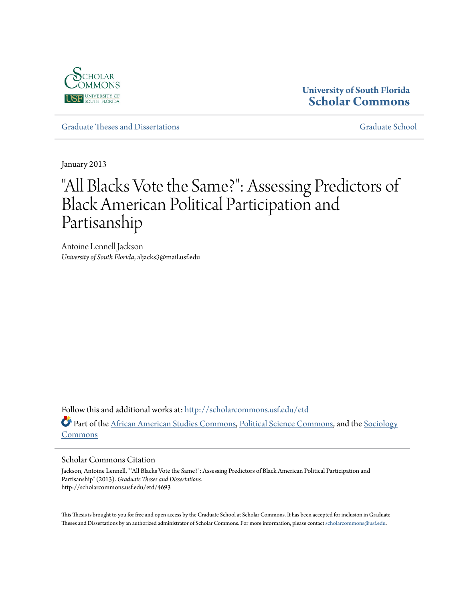

## **University of South Florida [Scholar Commons](http://scholarcommons.usf.edu?utm_source=scholarcommons.usf.edu%2Fetd%2F4693&utm_medium=PDF&utm_campaign=PDFCoverPages)**

[Graduate Theses and Dissertations](http://scholarcommons.usf.edu/etd?utm_source=scholarcommons.usf.edu%2Fetd%2F4693&utm_medium=PDF&utm_campaign=PDFCoverPages) [Graduate School](http://scholarcommons.usf.edu/grad?utm_source=scholarcommons.usf.edu%2Fetd%2F4693&utm_medium=PDF&utm_campaign=PDFCoverPages)

January 2013

# "All Blacks Vote the Same?": Assessing Predictors of Black American Political Participation and Partisanship

Antoine Lennell Jackson *University of South Florida*, aljacks3@mail.usf.edu

Follow this and additional works at: [http://scholarcommons.usf.edu/etd](http://scholarcommons.usf.edu/etd?utm_source=scholarcommons.usf.edu%2Fetd%2F4693&utm_medium=PDF&utm_campaign=PDFCoverPages) Part of the [African American Studies Commons,](http://network.bepress.com/hgg/discipline/567?utm_source=scholarcommons.usf.edu%2Fetd%2F4693&utm_medium=PDF&utm_campaign=PDFCoverPages) [Political Science Commons,](http://network.bepress.com/hgg/discipline/386?utm_source=scholarcommons.usf.edu%2Fetd%2F4693&utm_medium=PDF&utm_campaign=PDFCoverPages) and the [Sociology](http://network.bepress.com/hgg/discipline/416?utm_source=scholarcommons.usf.edu%2Fetd%2F4693&utm_medium=PDF&utm_campaign=PDFCoverPages) [Commons](http://network.bepress.com/hgg/discipline/416?utm_source=scholarcommons.usf.edu%2Fetd%2F4693&utm_medium=PDF&utm_campaign=PDFCoverPages)

#### Scholar Commons Citation

Jackson, Antoine Lennell, ""All Blacks Vote the Same?": Assessing Predictors of Black American Political Participation and Partisanship" (2013). *Graduate Theses and Dissertations.* http://scholarcommons.usf.edu/etd/4693

This Thesis is brought to you for free and open access by the Graduate School at Scholar Commons. It has been accepted for inclusion in Graduate Theses and Dissertations by an authorized administrator of Scholar Commons. For more information, please contact [scholarcommons@usf.edu.](mailto:scholarcommons@usf.edu)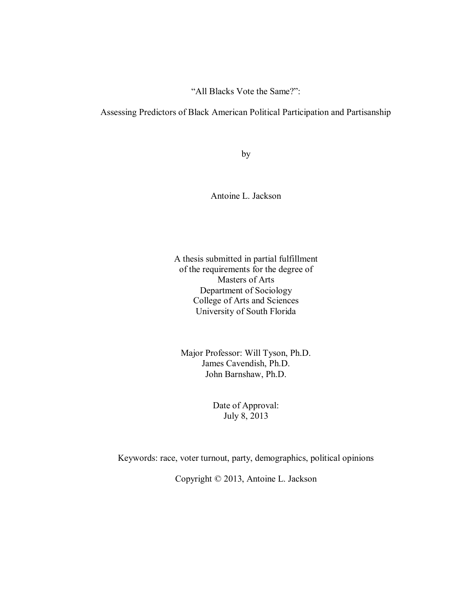"All Blacks Vote the Same?":

Assessing Predictors of Black American Political Participation and Partisanship

by

Antoine L. Jackson

A thesis submitted in partial fulfillment of the requirements for the degree of Masters of Arts Department of Sociology College of Arts and Sciences University of South Florida

Major Professor: Will Tyson, Ph.D. James Cavendish, Ph.D. John Barnshaw, Ph.D.

> Date of Approval: July 8, 2013

Keywords: race, voter turnout, party, demographics, political opinions

Copyright © 2013, Antoine L. Jackson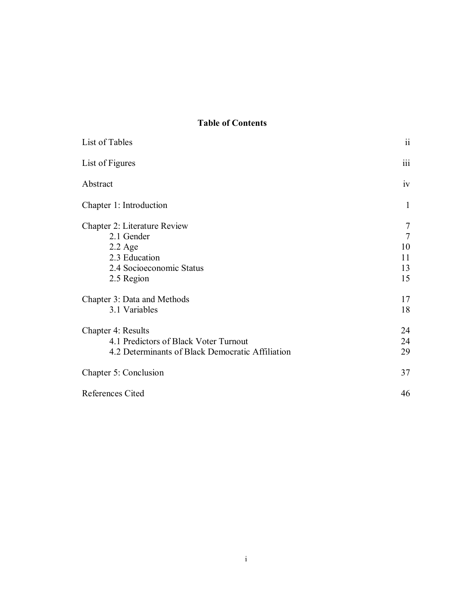## **Table of Contents**

| List of Tables                                   | $\ddot{\rm n}$  |
|--------------------------------------------------|-----------------|
| List of Figures                                  | iii             |
| Abstract                                         | iv              |
| Chapter 1: Introduction                          | 1               |
| Chapter 2: Literature Review                     | 7               |
| 2.1 Gender                                       | $7\phantom{.0}$ |
| $2.2$ Age                                        | 10              |
| 2.3 Education                                    | 11              |
| 2.4 Socioeconomic Status                         | 13              |
| 2.5 Region                                       | 15              |
| Chapter 3: Data and Methods                      | 17              |
| 3.1 Variables                                    | 18              |
| Chapter 4: Results                               | 24              |
| 4.1 Predictors of Black Voter Turnout            | 24              |
| 4.2 Determinants of Black Democratic Affiliation | 29              |
| Chapter 5: Conclusion                            | 37              |
| References Cited                                 | 46              |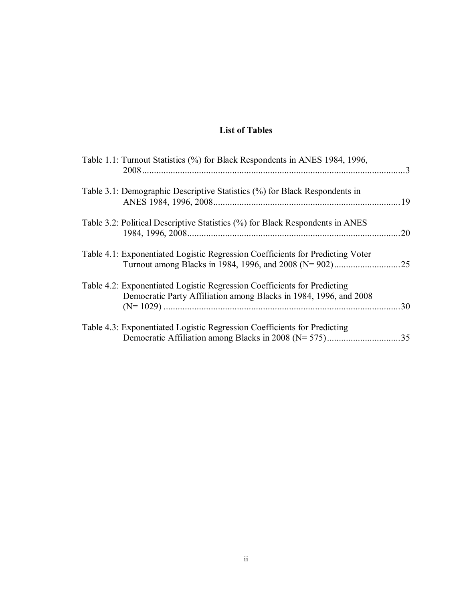## **List of Tables**

| Table 1.1: Turnout Statistics (%) for Black Respondents in ANES 1984, 1996,                                                                   |     |
|-----------------------------------------------------------------------------------------------------------------------------------------------|-----|
| Table 3.1: Demographic Descriptive Statistics (%) for Black Respondents in                                                                    |     |
| Table 3.2: Political Descriptive Statistics (%) for Black Respondents in ANES                                                                 | 20  |
| Table 4.1: Exponentiated Logistic Regression Coefficients for Predicting Voter                                                                | .25 |
| Table 4.2: Exponentiated Logistic Regression Coefficients for Predicting<br>Democratic Party Affiliation among Blacks in 1984, 1996, and 2008 | 30  |
| Table 4.3: Exponentiated Logistic Regression Coefficients for Predicting<br>Democratic Affiliation among Blacks in 2008 (N= 575)              | 35  |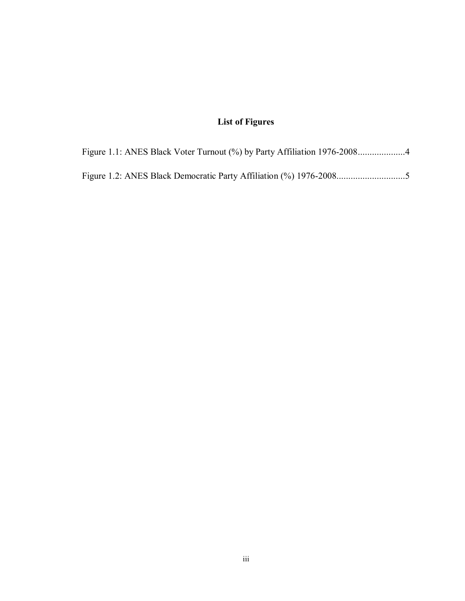## **List of Figures**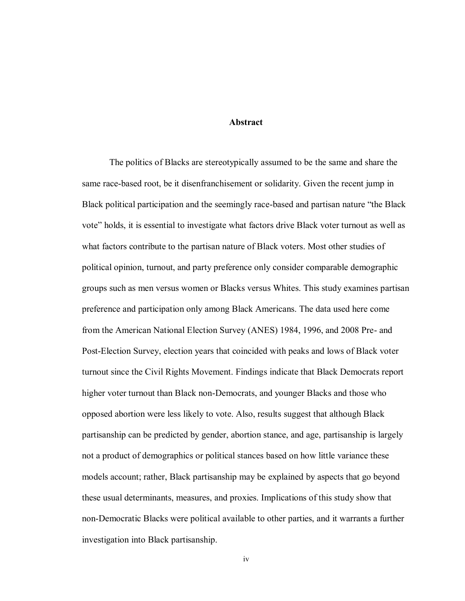#### **Abstract**

The politics of Blacks are stereotypically assumed to be the same and share the same race-based root, be it disenfranchisement or solidarity. Given the recent jump in Black political participation and the seemingly race-based and partisan nature "the Black vote" holds, it is essential to investigate what factors drive Black voter turnout as well as what factors contribute to the partisan nature of Black voters. Most other studies of political opinion, turnout, and party preference only consider comparable demographic groups such as men versus women or Blacks versus Whites. This study examines partisan preference and participation only among Black Americans. The data used here come from the American National Election Survey (ANES) 1984, 1996, and 2008 Pre- and Post-Election Survey, election years that coincided with peaks and lows of Black voter turnout since the Civil Rights Movement. Findings indicate that Black Democrats report higher voter turnout than Black non-Democrats, and younger Blacks and those who opposed abortion were less likely to vote. Also, results suggest that although Black partisanship can be predicted by gender, abortion stance, and age, partisanship is largely not a product of demographics or political stances based on how little variance these models account; rather, Black partisanship may be explained by aspects that go beyond these usual determinants, measures, and proxies. Implications of this study show that non-Democratic Blacks were political available to other parties, and it warrants a further investigation into Black partisanship.

iv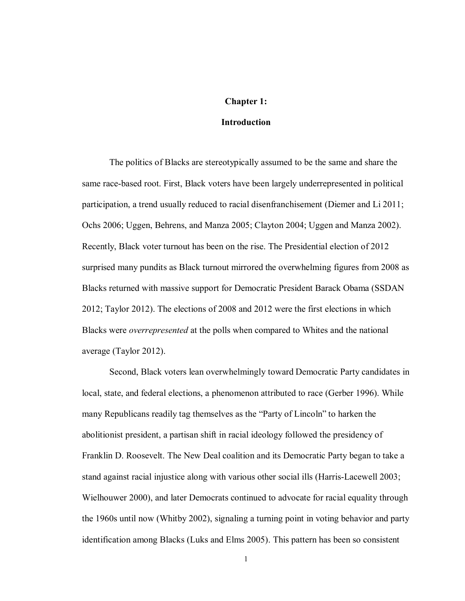#### **Chapter 1:**

#### **Introduction**

The politics of Blacks are stereotypically assumed to be the same and share the same race-based root. First, Black voters have been largely underrepresented in political participation, a trend usually reduced to racial disenfranchisement (Diemer and Li 2011; Ochs 2006; Uggen, Behrens, and Manza 2005; Clayton 2004; Uggen and Manza 2002). Recently, Black voter turnout has been on the rise. The Presidential election of 2012 surprised many pundits as Black turnout mirrored the overwhelming figures from 2008 as Blacks returned with massive support for Democratic President Barack Obama (SSDAN 2012; Taylor 2012). The elections of 2008 and 2012 were the first elections in which Blacks were *overrepresented* at the polls when compared to Whites and the national average (Taylor 2012).

Second, Black voters lean overwhelmingly toward Democratic Party candidates in local, state, and federal elections, a phenomenon attributed to race (Gerber 1996). While many Republicans readily tag themselves as the "Party of Lincoln" to harken the abolitionist president, a partisan shift in racial ideology followed the presidency of Franklin D. Roosevelt. The New Deal coalition and its Democratic Party began to take a stand against racial injustice along with various other social ills (Harris-Lacewell 2003; Wielhouwer 2000), and later Democrats continued to advocate for racial equality through the 1960s until now (Whitby 2002), signaling a turning point in voting behavior and party identification among Blacks (Luks and Elms 2005). This pattern has been so consistent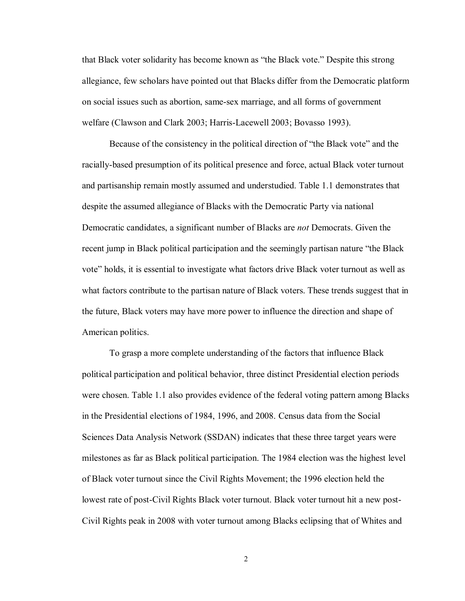that Black voter solidarity has become known as "the Black vote." Despite this strong allegiance, few scholars have pointed out that Blacks differ from the Democratic platform on social issues such as abortion, same-sex marriage, and all forms of government welfare (Clawson and Clark 2003; Harris-Lacewell 2003; Bovasso 1993).

Because of the consistency in the political direction of "the Black vote" and the racially-based presumption of its political presence and force, actual Black voter turnout and partisanship remain mostly assumed and understudied. Table 1.1 demonstrates that despite the assumed allegiance of Blacks with the Democratic Party via national Democratic candidates, a significant number of Blacks are *not* Democrats. Given the recent jump in Black political participation and the seemingly partisan nature "the Black vote" holds, it is essential to investigate what factors drive Black voter turnout as well as what factors contribute to the partisan nature of Black voters. These trends suggest that in the future, Black voters may have more power to influence the direction and shape of American politics.

To grasp a more complete understanding of the factors that influence Black political participation and political behavior, three distinct Presidential election periods were chosen. Table 1.1 also provides evidence of the federal voting pattern among Blacks in the Presidential elections of 1984, 1996, and 2008. Census data from the Social Sciences Data Analysis Network (SSDAN) indicates that these three target years were milestones as far as Black political participation. The 1984 election was the highest level of Black voter turnout since the Civil Rights Movement; the 1996 election held the lowest rate of post-Civil Rights Black voter turnout. Black voter turnout hit a new post-Civil Rights peak in 2008 with voter turnout among Blacks eclipsing that of Whites and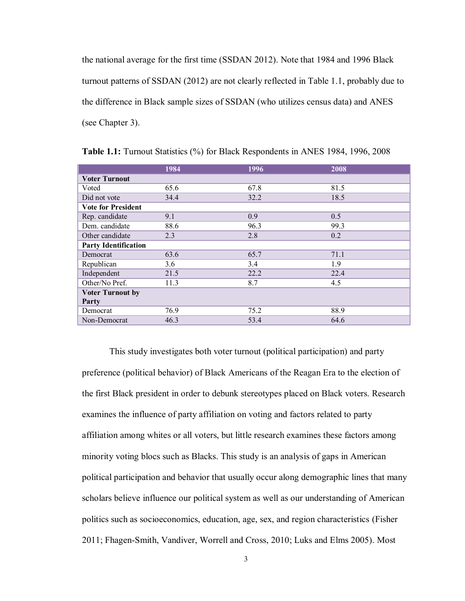the national average for the first time (SSDAN 2012). Note that 1984 and 1996 Black turnout patterns of SSDAN (2012) are not clearly reflected in Table 1.1, probably due to the difference in Black sample sizes of SSDAN (who utilizes census data) and ANES (see Chapter 3).

|                             | 1984 | 1996 | 2008 |
|-----------------------------|------|------|------|
| <b>Voter Turnout</b>        |      |      |      |
| Voted                       | 65.6 | 67.8 | 81.5 |
| Did not vote                | 34.4 | 32.2 | 18.5 |
| <b>Vote for President</b>   |      |      |      |
| Rep. candidate              | 9.1  | 0.9  | 0.5  |
| Dem. candidate              | 88.6 | 96.3 | 99.3 |
| Other candidate             | 2.3  | 2.8  | 0.2  |
| <b>Party Identification</b> |      |      |      |
| Democrat                    | 63.6 | 65.7 | 71.1 |
| Republican                  | 3.6  | 3.4  | 1.9  |
| Independent                 | 21.5 | 22.2 | 22.4 |
| Other/No Pref.              | 11.3 | 8.7  | 4.5  |
| <b>Voter Turnout by</b>     |      |      |      |
| Party                       |      |      |      |
| Democrat                    | 76.9 | 75.2 | 88.9 |
| Non-Democrat                | 46.3 | 53.4 | 64.6 |

<span id="page-8-0"></span>**Table 1.1:** Turnout Statistics (%) for Black Respondents in ANES 1984, 1996, 2008

This study investigates both voter turnout (political participation) and party preference (political behavior) of Black Americans of the Reagan Era to the election of the first Black president in order to debunk stereotypes placed on Black voters. Research examines the influence of party affiliation on voting and factors related to party affiliation among whites or all voters, but little research examines these factors among minority voting blocs such as Blacks. This study is an analysis of gaps in American political participation and behavior that usually occur along demographic lines that many scholars believe influence our political system as well as our understanding of American politics such as socioeconomics, education, age, sex, and region characteristics (Fisher 2011; Fhagen-Smith, Vandiver, Worrell and Cross, 2010; Luks and Elms 2005). Most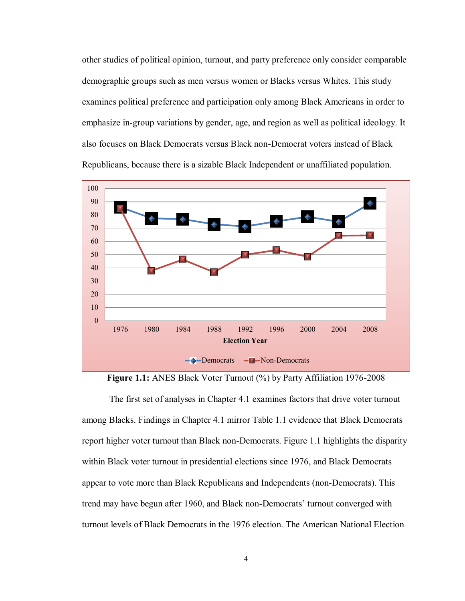other studies of political opinion, turnout, and party preference only consider comparable demographic groups such as men versus women or Blacks versus Whites. This study examines political preference and participation only among Black Americans in order to emphasize in-group variations by gender, age, and region as well as political ideology. It also focuses on Black Democrats versus Black non-Democrat voters instead of Black Republicans, because there is a sizable Black Independent or unaffiliated population.



**Figure 1.1:** ANES Black Voter Turnout (%) by Party Affiliation 1976-2008

<span id="page-9-0"></span>The first set of analyses in Chapter 4.1 examines factors that drive voter turnout among Blacks. Findings in Chapter 4.1 mirror Table 1.1 evidence that Black Democrats report higher voter turnout than Black non-Democrats. Figure 1.1 highlights the disparity within Black voter turnout in presidential elections since 1976, and Black Democrats appear to vote more than Black Republicans and Independents (non-Democrats). This trend may have begun after 1960, and Black non-Democrats' turnout converged with turnout levels of Black Democrats in the 1976 election. The American National Election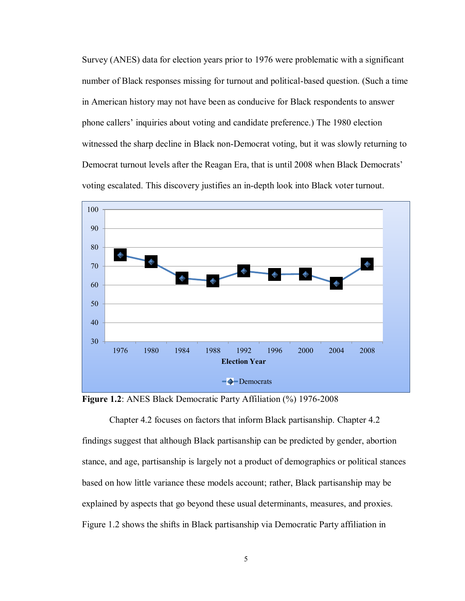Survey (ANES) data for election years prior to 1976 were problematic with a significant number of Black responses missing for turnout and political-based question. (Such a time in American history may not have been as conducive for Black respondents to answer phone callers' inquiries about voting and candidate preference.) The 1980 election witnessed the sharp decline in Black non-Democrat voting, but it was slowly returning to Democrat turnout levels after the Reagan Era, that is until 2008 when Black Democrats' voting escalated. This discovery justifies an in-depth look into Black voter turnout.



<span id="page-10-0"></span>**Figure 1.2**: ANES Black Democratic Party Affiliation (%) 1976-2008

Chapter 4.2 focuses on factors that inform Black partisanship. Chapter 4.2 findings suggest that although Black partisanship can be predicted by gender, abortion stance, and age, partisanship is largely not a product of demographics or political stances based on how little variance these models account; rather, Black partisanship may be explained by aspects that go beyond these usual determinants, measures, and proxies. Figure 1.2 shows the shifts in Black partisanship via Democratic Party affiliation in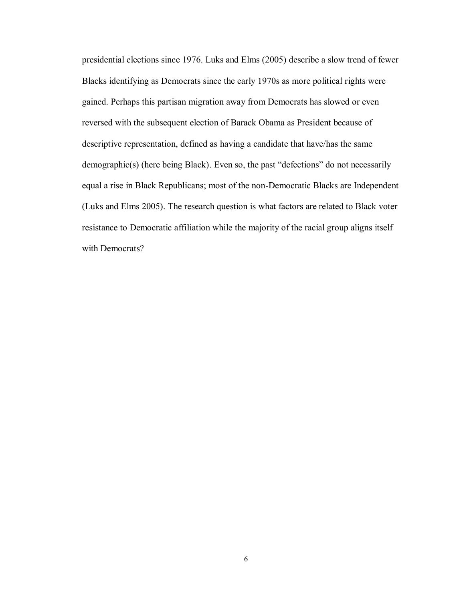presidential elections since 1976. Luks and Elms (2005) describe a slow trend of fewer Blacks identifying as Democrats since the early 1970s as more political rights were gained. Perhaps this partisan migration away from Democrats has slowed or even reversed with the subsequent election of Barack Obama as President because of descriptive representation, defined as having a candidate that have/has the same demographic(s) (here being Black). Even so, the past "defections" do not necessarily equal a rise in Black Republicans; most of the non-Democratic Blacks are Independent (Luks and Elms 2005). The research question is what factors are related to Black voter resistance to Democratic affiliation while the majority of the racial group aligns itself with Democrats?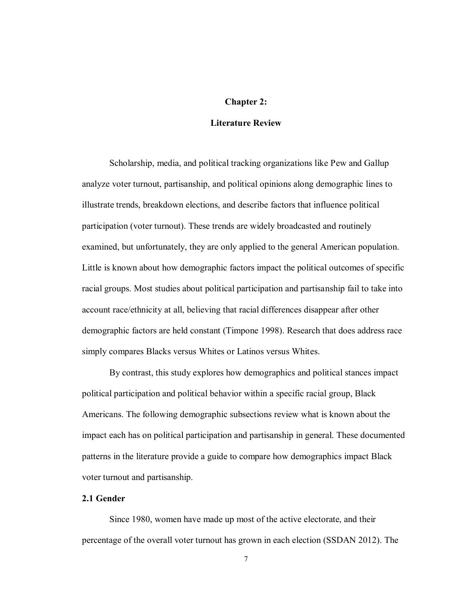#### **Chapter 2:**

#### **Literature Review**

Scholarship, media, and political tracking organizations like Pew and Gallup analyze voter turnout, partisanship, and political opinions along demographic lines to illustrate trends, breakdown elections, and describe factors that influence political participation (voter turnout). These trends are widely broadcasted and routinely examined, but unfortunately, they are only applied to the general American population. Little is known about how demographic factors impact the political outcomes of specific racial groups. Most studies about political participation and partisanship fail to take into account race/ethnicity at all, believing that racial differences disappear after other demographic factors are held constant (Timpone 1998). Research that does address race simply compares Blacks versus Whites or Latinos versus Whites.

By contrast, this study explores how demographics and political stances impact political participation and political behavior within a specific racial group, Black Americans. The following demographic subsections review what is known about the impact each has on political participation and partisanship in general. These documented patterns in the literature provide a guide to compare how demographics impact Black voter turnout and partisanship.

#### **2.1 Gender**

Since 1980, women have made up most of the active electorate, and their percentage of the overall voter turnout has grown in each election (SSDAN 2012). The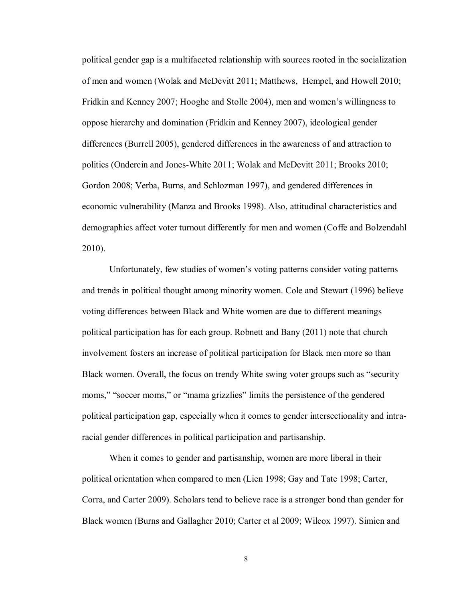political gender gap is a multifaceted relationship with sources rooted in the socialization of men and women (Wolak and McDevitt 2011; Matthews, Hempel, and Howell 2010; Fridkin and Kenney 2007; Hooghe and Stolle 2004), men and women's willingness to oppose hierarchy and domination (Fridkin and Kenney 2007), ideological gender differences (Burrell 2005), gendered differences in the awareness of and attraction to politics (Ondercin and Jones-White 2011; Wolak and McDevitt 2011; Brooks 2010; Gordon 2008; Verba, Burns, and Schlozman 1997), and gendered differences in economic vulnerability (Manza and Brooks 1998). Also, attitudinal characteristics and demographics affect voter turnout differently for men and women (Coffe and Bolzendahl 2010).

Unfortunately, few studies of women's voting patterns consider voting patterns and trends in political thought among minority women. Cole and Stewart (1996) believe voting differences between Black and White women are due to different meanings political participation has for each group. Robnett and Bany (2011) note that church involvement fosters an increase of political participation for Black men more so than Black women. Overall, the focus on trendy White swing voter groups such as "security moms," "soccer moms," or "mama grizzlies" limits the persistence of the gendered political participation gap, especially when it comes to gender intersectionality and intraracial gender differences in political participation and partisanship.

When it comes to gender and partisanship, women are more liberal in their political orientation when compared to men (Lien 1998; Gay and Tate 1998; Carter, Corra, and Carter 2009). Scholars tend to believe race is a stronger bond than gender for Black women (Burns and Gallagher 2010; Carter et al 2009; Wilcox 1997). Simien and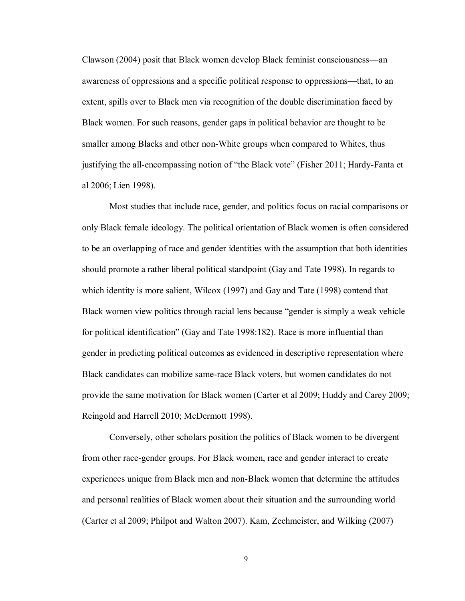Clawson (2004) posit that Black women develop Black feminist consciousness—an awareness of oppressions and a specific political response to oppressions—that, to an extent, spills over to Black men via recognition of the double discrimination faced by Black women. For such reasons, gender gaps in political behavior are thought to be smaller among Blacks and other non-White groups when compared to Whites, thus justifying the all-encompassing notion of "the Black vote" (Fisher 2011; Hardy-Fanta et al 2006; Lien 1998).

Most studies that include race, gender, and politics focus on racial comparisons or only Black female ideology. The political orientation of Black women is often considered to be an overlapping of race and gender identities with the assumption that both identities should promote a rather liberal political standpoint (Gay and Tate 1998). In regards to which identity is more salient, Wilcox (1997) and Gay and Tate (1998) contend that Black women view politics through racial lens because "gender is simply a weak vehicle for political identification" (Gay and Tate 1998:182). Race is more influential than gender in predicting political outcomes as evidenced in descriptive representation where Black candidates can mobilize same-race Black voters, but women candidates do not provide the same motivation for Black women (Carter et al 2009; Huddy and Carey 2009; Reingold and Harrell 2010; McDermott 1998).

Conversely, other scholars position the politics of Black women to be divergent from other race-gender groups. For Black women, race and gender interact to create experiences unique from Black men and non-Black women that determine the attitudes and personal realities of Black women about their situation and the surrounding world (Carter et al 2009; Philpot and Walton 2007). Kam, Zechmeister, and Wilking (2007)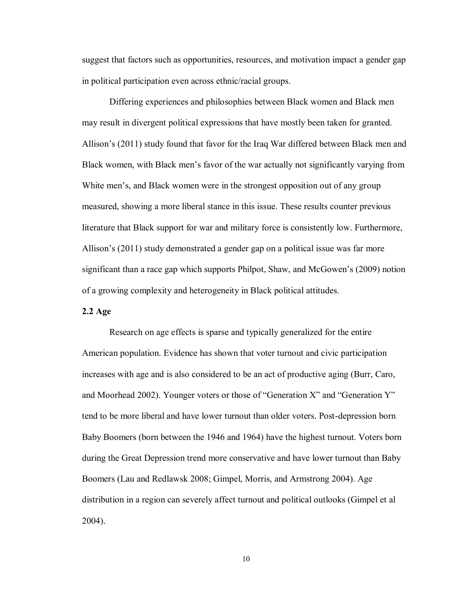suggest that factors such as opportunities, resources, and motivation impact a gender gap in political participation even across ethnic/racial groups.

Differing experiences and philosophies between Black women and Black men may result in divergent political expressions that have mostly been taken for granted. Allison's (2011) study found that favor for the Iraq War differed between Black men and Black women, with Black men's favor of the war actually not significantly varying from White men's, and Black women were in the strongest opposition out of any group measured, showing a more liberal stance in this issue. These results counter previous literature that Black support for war and military force is consistently low. Furthermore, Allison's (2011) study demonstrated a gender gap on a political issue was far more significant than a race gap which supports Philpot, Shaw, and McGowen's (2009) notion of a growing complexity and heterogeneity in Black political attitudes.

#### **2.2 Age**

Research on age effects is sparse and typically generalized for the entire American population. Evidence has shown that voter turnout and civic participation increases with age and is also considered to be an act of productive aging (Burr, Caro, and Moorhead 2002). Younger voters or those of "Generation X" and "Generation Y" tend to be more liberal and have lower turnout than older voters. Post-depression born Baby Boomers (born between the 1946 and 1964) have the highest turnout. Voters born during the Great Depression trend more conservative and have lower turnout than Baby Boomers (Lau and Redlawsk 2008; Gimpel, Morris, and Armstrong 2004). Age distribution in a region can severely affect turnout and political outlooks (Gimpel et al 2004).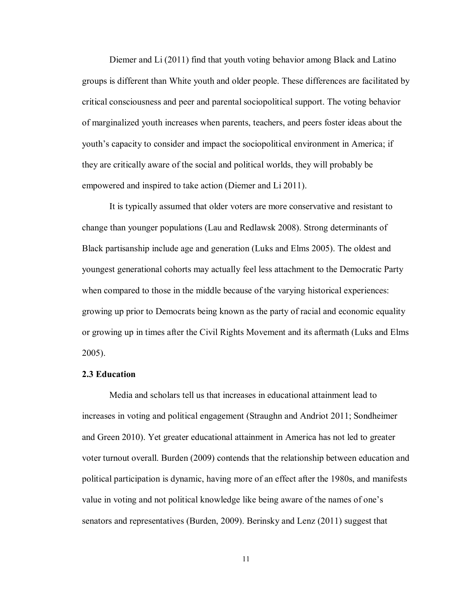Diemer and Li (2011) find that youth voting behavior among Black and Latino groups is different than White youth and older people. These differences are facilitated by critical consciousness and peer and parental sociopolitical support. The voting behavior of marginalized youth increases when parents, teachers, and peers foster ideas about the youth's capacity to consider and impact the sociopolitical environment in America; if they are critically aware of the social and political worlds, they will probably be empowered and inspired to take action (Diemer and Li 2011).

It is typically assumed that older voters are more conservative and resistant to change than younger populations (Lau and Redlawsk 2008). Strong determinants of Black partisanship include age and generation (Luks and Elms 2005). The oldest and youngest generational cohorts may actually feel less attachment to the Democratic Party when compared to those in the middle because of the varying historical experiences: growing up prior to Democrats being known as the party of racial and economic equality or growing up in times after the Civil Rights Movement and its aftermath (Luks and Elms 2005).

#### **2.3 Education**

Media and scholars tell us that increases in educational attainment lead to increases in voting and political engagement (Straughn and Andriot 2011; Sondheimer and Green 2010). Yet greater educational attainment in America has not led to greater voter turnout overall. Burden (2009) contends that the relationship between education and political participation is dynamic, having more of an effect after the 1980s, and manifests value in voting and not political knowledge like being aware of the names of one's senators and representatives (Burden, 2009). Berinsky and Lenz (2011) suggest that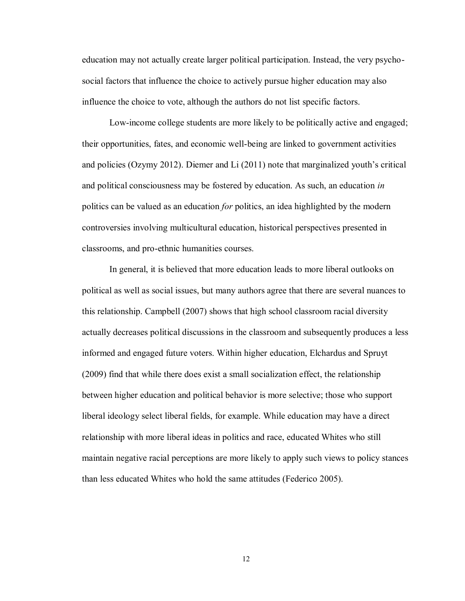education may not actually create larger political participation. Instead, the very psychosocial factors that influence the choice to actively pursue higher education may also influence the choice to vote, although the authors do not list specific factors.

Low-income college students are more likely to be politically active and engaged; their opportunities, fates, and economic well-being are linked to government activities and policies (Ozymy 2012). Diemer and Li (2011) note that marginalized youth's critical and political consciousness may be fostered by education. As such, an education *in* politics can be valued as an education *for* politics, an idea highlighted by the modern controversies involving multicultural education, historical perspectives presented in classrooms, and pro-ethnic humanities courses.

In general, it is believed that more education leads to more liberal outlooks on political as well as social issues, but many authors agree that there are several nuances to this relationship. Campbell (2007) shows that high school classroom racial diversity actually decreases political discussions in the classroom and subsequently produces a less informed and engaged future voters. Within higher education, Elchardus and Spruyt (2009) find that while there does exist a small socialization effect, the relationship between higher education and political behavior is more selective; those who support liberal ideology select liberal fields, for example. While education may have a direct relationship with more liberal ideas in politics and race, educated Whites who still maintain negative racial perceptions are more likely to apply such views to policy stances than less educated Whites who hold the same attitudes (Federico 2005).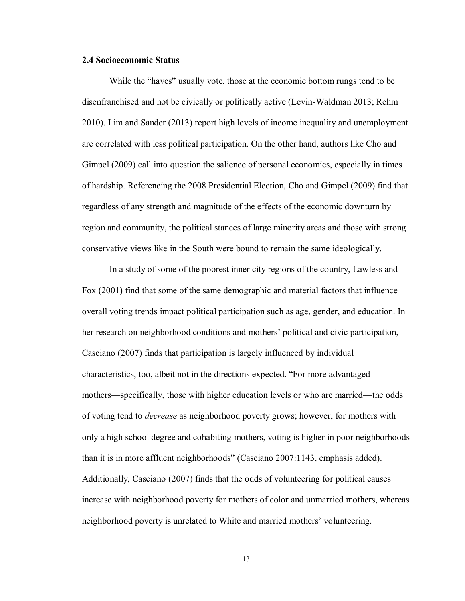#### **2.4 Socioeconomic Status**

While the "haves" usually vote, those at the economic bottom rungs tend to be disenfranchised and not be civically or politically active (Levin-Waldman 2013; Rehm 2010). Lim and Sander (2013) report high levels of income inequality and unemployment are correlated with less political participation. On the other hand, authors like Cho and Gimpel (2009) call into question the salience of personal economics, especially in times of hardship. Referencing the 2008 Presidential Election, Cho and Gimpel (2009) find that regardless of any strength and magnitude of the effects of the economic downturn by region and community, the political stances of large minority areas and those with strong conservative views like in the South were bound to remain the same ideologically.

In a study of some of the poorest inner city regions of the country, Lawless and Fox (2001) find that some of the same demographic and material factors that influence overall voting trends impact political participation such as age, gender, and education. In her research on neighborhood conditions and mothers' political and civic participation, Casciano (2007) finds that participation is largely influenced by individual characteristics, too, albeit not in the directions expected. "For more advantaged mothers—specifically, those with higher education levels or who are married—the odds of voting tend to *decrease* as neighborhood poverty grows; however, for mothers with only a high school degree and cohabiting mothers, voting is higher in poor neighborhoods than it is in more affluent neighborhoods" (Casciano 2007:1143, emphasis added). Additionally, Casciano (2007) finds that the odds of volunteering for political causes increase with neighborhood poverty for mothers of color and unmarried mothers, whereas neighborhood poverty is unrelated to White and married mothers' volunteering.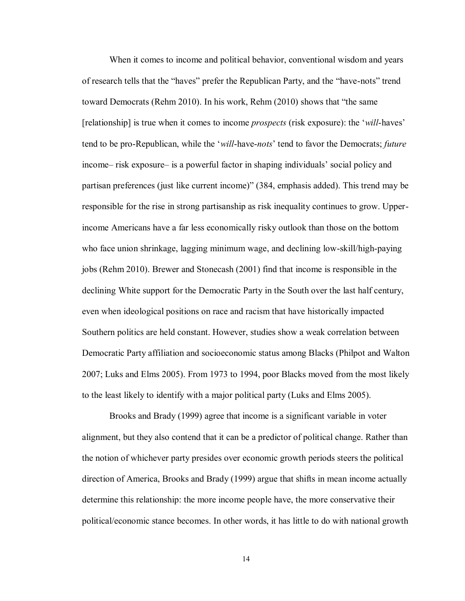When it comes to income and political behavior, conventional wisdom and years of research tells that the "haves" prefer the Republican Party, and the "have-nots" trend toward Democrats (Rehm 2010). In his work, Rehm (2010) shows that "the same [relationship] is true when it comes to income *prospects* (risk exposure): the '*will*-haves' tend to be pro-Republican, while the '*will*-have-*nots*' tend to favor the Democrats; *future* income– risk exposure– is a powerful factor in shaping individuals' social policy and partisan preferences (just like current income)" (384, emphasis added). This trend may be responsible for the rise in strong partisanship as risk inequality continues to grow. Upperincome Americans have a far less economically risky outlook than those on the bottom who face union shrinkage, lagging minimum wage, and declining low-skill/high-paying jobs (Rehm 2010). Brewer and Stonecash (2001) find that income is responsible in the declining White support for the Democratic Party in the South over the last half century, even when ideological positions on race and racism that have historically impacted Southern politics are held constant. However, studies show a weak correlation between Democratic Party affiliation and socioeconomic status among Blacks (Philpot and Walton 2007; Luks and Elms 2005). From 1973 to 1994, poor Blacks moved from the most likely to the least likely to identify with a major political party (Luks and Elms 2005).

Brooks and Brady (1999) agree that income is a significant variable in voter alignment, but they also contend that it can be a predictor of political change. Rather than the notion of whichever party presides over economic growth periods steers the political direction of America, Brooks and Brady (1999) argue that shifts in mean income actually determine this relationship: the more income people have, the more conservative their political/economic stance becomes. In other words, it has little to do with national growth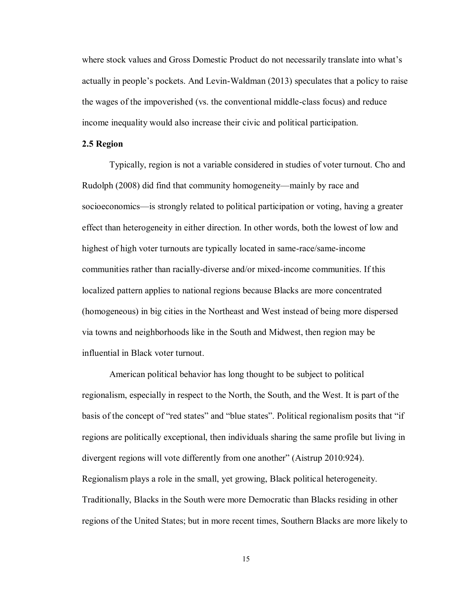where stock values and Gross Domestic Product do not necessarily translate into what's actually in people's pockets. And Levin-Waldman (2013) speculates that a policy to raise the wages of the impoverished (vs. the conventional middle-class focus) and reduce income inequality would also increase their civic and political participation.

#### **2.5 Region**

Typically, region is not a variable considered in studies of voter turnout. Cho and Rudolph (2008) did find that community homogeneity—mainly by race and socioeconomics—is strongly related to political participation or voting, having a greater effect than heterogeneity in either direction. In other words, both the lowest of low and highest of high voter turnouts are typically located in same-race/same-income communities rather than racially-diverse and/or mixed-income communities. If this localized pattern applies to national regions because Blacks are more concentrated (homogeneous) in big cities in the Northeast and West instead of being more dispersed via towns and neighborhoods like in the South and Midwest, then region may be influential in Black voter turnout.

American political behavior has long thought to be subject to political regionalism, especially in respect to the North, the South, and the West. It is part of the basis of the concept of "red states" and "blue states". Political regionalism posits that "if regions are politically exceptional, then individuals sharing the same profile but living in divergent regions will vote differently from one another" (Aistrup 2010:924). Regionalism plays a role in the small, yet growing, Black political heterogeneity. Traditionally, Blacks in the South were more Democratic than Blacks residing in other regions of the United States; but in more recent times, Southern Blacks are more likely to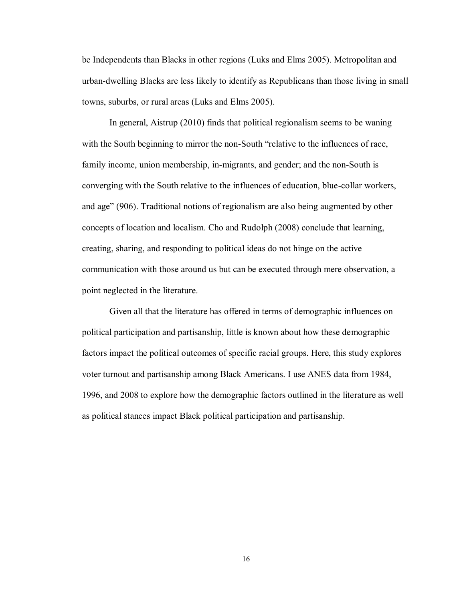be Independents than Blacks in other regions (Luks and Elms 2005). Metropolitan and urban-dwelling Blacks are less likely to identify as Republicans than those living in small towns, suburbs, or rural areas (Luks and Elms 2005).

In general, Aistrup (2010) finds that political regionalism seems to be waning with the South beginning to mirror the non-South "relative to the influences of race, family income, union membership, in-migrants, and gender; and the non-South is converging with the South relative to the influences of education, blue-collar workers, and age" (906). Traditional notions of regionalism are also being augmented by other concepts of location and localism. Cho and Rudolph (2008) conclude that learning, creating, sharing, and responding to political ideas do not hinge on the active communication with those around us but can be executed through mere observation, a point neglected in the literature.

Given all that the literature has offered in terms of demographic influences on political participation and partisanship, little is known about how these demographic factors impact the political outcomes of specific racial groups. Here, this study explores voter turnout and partisanship among Black Americans. I use ANES data from 1984, 1996, and 2008 to explore how the demographic factors outlined in the literature as well as political stances impact Black political participation and partisanship.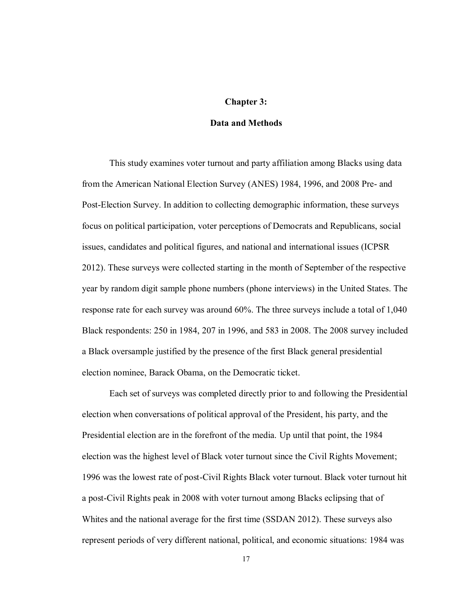#### **Chapter 3:**

#### **Data and Methods**

This study examines voter turnout and party affiliation among Blacks using data from the American National Election Survey (ANES) 1984, 1996, and 2008 Pre- and Post-Election Survey. In addition to collecting demographic information, these surveys focus on political participation, voter perceptions of Democrats and Republicans, social issues, candidates and political figures, and national and international issues (ICPSR 2012). These surveys were collected starting in the month of September of the respective year by random digit sample phone numbers (phone interviews) in the United States. The response rate for each survey was around 60%. The three surveys include a total of 1,040 Black respondents: 250 in 1984, 207 in 1996, and 583 in 2008. The 2008 survey included a Black oversample justified by the presence of the first Black general presidential election nominee, Barack Obama, on the Democratic ticket.

Each set of surveys was completed directly prior to and following the Presidential election when conversations of political approval of the President, his party, and the Presidential election are in the forefront of the media. Up until that point, the 1984 election was the highest level of Black voter turnout since the Civil Rights Movement; 1996 was the lowest rate of post-Civil Rights Black voter turnout. Black voter turnout hit a post-Civil Rights peak in 2008 with voter turnout among Blacks eclipsing that of Whites and the national average for the first time (SSDAN 2012). These surveys also represent periods of very different national, political, and economic situations: 1984 was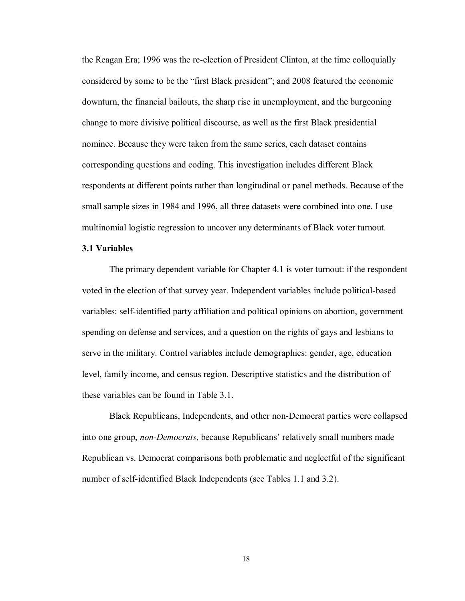the Reagan Era; 1996 was the re-election of President Clinton, at the time colloquially considered by some to be the "first Black president"; and 2008 featured the economic downturn, the financial bailouts, the sharp rise in unemployment, and the burgeoning change to more divisive political discourse, as well as the first Black presidential nominee. Because they were taken from the same series, each dataset contains corresponding questions and coding. This investigation includes different Black respondents at different points rather than longitudinal or panel methods. Because of the small sample sizes in 1984 and 1996, all three datasets were combined into one. I use multinomial logistic regression to uncover any determinants of Black voter turnout.

#### **3.1 Variables**

The primary dependent variable for Chapter 4.1 is voter turnout: if the respondent voted in the election of that survey year. Independent variables include political-based variables: self-identified party affiliation and political opinions on abortion, government spending on defense and services, and a question on the rights of gays and lesbians to serve in the military. Control variables include demographics: gender, age, education level, family income, and census region. Descriptive statistics and the distribution of these variables can be found in Table 3.1.

Black Republicans, Independents, and other non-Democrat parties were collapsed into one group, *non-Democrats*, because Republicans' relatively small numbers made Republican vs. Democrat comparisons both problematic and neglectful of the significant number of self-identified Black Independents (see Tables 1.1 and 3.2).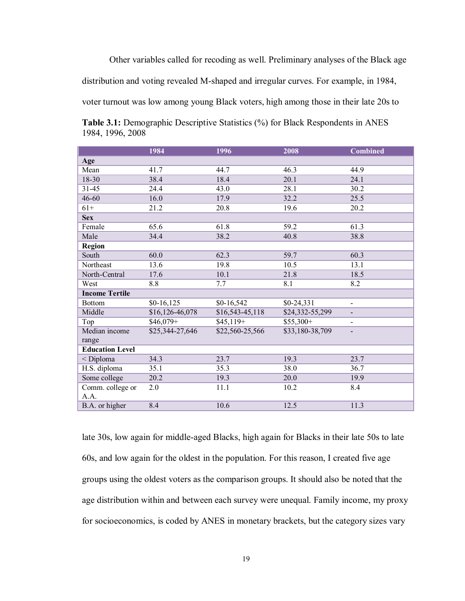Other variables called for recoding as well. Preliminary analyses of the Black age

distribution and voting revealed M-shaped and irregular curves. For example, in 1984,

voter turnout was low among young Black voters, high among those in their late 20s to

<span id="page-24-0"></span>**Table 3.1:** Demographic Descriptive Statistics (%) for Black Respondents in ANES 1984, 1996, 2008

|                        | 1984            | 1996             | 2008            | <b>Combined</b>              |
|------------------------|-----------------|------------------|-----------------|------------------------------|
| Age                    |                 |                  |                 |                              |
| Mean                   | 41.7            | 44.7             | 46.3            | 44.9                         |
| 18-30                  | 38.4            | 18.4             | 20.1            | 24.1                         |
| 31-45                  | 24.4            | 43.0             | 28.1            | 30.2                         |
| $46 - 60$              | 16.0            | 17.9             | 32.2            | 25.5                         |
| $61+$                  | 21.2            | 20.8             | 19.6            | 20.2                         |
| <b>Sex</b>             |                 |                  |                 |                              |
| Female                 | 65.6            | 61.8             | 59.2            | 61.3                         |
| Male                   | 34.4            | 38.2             | 40.8            | 38.8                         |
| <b>Region</b>          |                 |                  |                 |                              |
| South                  | 60.0            | 62.3             | 59.7            | 60.3                         |
| Northeast              | 13.6            | 19.8             | 10.5            | 13.1                         |
| North-Central          | 17.6            | 10.1             | 21.8            | 18.5                         |
| West                   | $8.8\,$         | 7.7              | 8.1             | 8.2                          |
| <b>Income Tertile</b>  |                 |                  |                 |                              |
| <b>Bottom</b>          | $$0-16, 125$    | \$0-16,542       | $$0-24,331$     | $\overline{\phantom{0}}$     |
| Middle                 | \$16,126-46,078 | $$16,543-45,118$ | \$24,332-55,299 | $\overline{\phantom{0}}$     |
| Top                    | $$46,079+$      | $$45,119+$       | $$55,300+$      | $\qquad \qquad \blacksquare$ |
| Median income          | \$25,344-27,646 | \$22,560-25,566  | \$33,180-38,709 |                              |
| range                  |                 |                  |                 |                              |
| <b>Education Level</b> |                 |                  |                 |                              |
| < Diploma              | 34.3            | 23.7             | 19.3            | 23.7                         |
| H.S. diploma           | 35.1            | 35.3             | 38.0            | 36.7                         |
| Some college           | 20.2            | 19.3             | 20.0            | 19.9                         |
| Comm. college or       | 2.0             | 11.1             | 10.2            | 8.4                          |
| A.A.                   |                 |                  |                 |                              |
| B.A. or higher         | 8.4             | 10.6             | 12.5            | 11.3                         |

late 30s, low again for middle-aged Blacks, high again for Blacks in their late 50s to late 60s, and low again for the oldest in the population. For this reason, I created five age groups using the oldest voters as the comparison groups. It should also be noted that the age distribution within and between each survey were unequal. Family income, my proxy for socioeconomics, is coded by ANES in monetary brackets, but the category sizes vary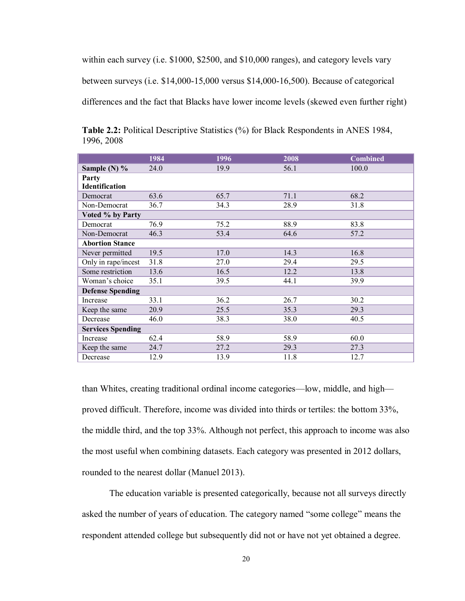within each survey (i.e. \$1000, \$2500, and \$10,000 ranges), and category levels vary

between surveys (i.e. \$14,000-15,000 versus \$14,000-16,500). Because of categorical

differences and the fact that Blacks have lower income levels (skewed even further right)

|                          | 1984 | 1996 | 2008 | <b>Combined</b> |
|--------------------------|------|------|------|-----------------|
| Sample (N) %             | 24.0 | 19.9 | 56.1 | 100.0           |
| Party                    |      |      |      |                 |
| <b>Identification</b>    |      |      |      |                 |
| Democrat                 | 63.6 | 65.7 | 71.1 | 68.2            |
| Non-Democrat             | 36.7 | 34.3 | 28.9 | 31.8            |
| Voted % by Party         |      |      |      |                 |
| Democrat                 | 76.9 | 75.2 | 88.9 | 83.8            |
| Non-Democrat             | 46.3 | 53.4 | 64.6 | 57.2            |
| <b>Abortion Stance</b>   |      |      |      |                 |
| Never permitted          | 19.5 | 17.0 | 14.3 | 16.8            |
| Only in rape/incest      | 31.8 | 27.0 | 29.4 | 29.5            |
| Some restriction         | 13.6 | 16.5 | 12.2 | 13.8            |
| Woman's choice           | 35.1 | 39.5 | 44.1 | 39.9            |
| <b>Defense Spending</b>  |      |      |      |                 |
| Increase                 | 33.1 | 36.2 | 26.7 | 30.2            |
| Keep the same            | 20.9 | 25.5 | 35.3 | 29.3            |
| Decrease                 | 46.0 | 38.3 | 38.0 | 40.5            |
| <b>Services Spending</b> |      |      |      |                 |
| Increase                 | 62.4 | 58.9 | 58.9 | 60.0            |
| Keep the same            | 24.7 | 27.2 | 29.3 | 27.3            |
| Decrease                 | 12.9 | 13.9 | 11.8 | 12.7            |

<span id="page-25-0"></span>**Table 2.2:** Political Descriptive Statistics (%) for Black Respondents in ANES 1984, 1996, 2008

than Whites, creating traditional ordinal income categories—low, middle, and high proved difficult. Therefore, income was divided into thirds or tertiles: the bottom 33%, the middle third, and the top 33%. Although not perfect, this approach to income was also the most useful when combining datasets. Each category was presented in 2012 dollars, rounded to the nearest dollar (Manuel 2013).

The education variable is presented categorically, because not all surveys directly asked the number of years of education. The category named "some college" means the respondent attended college but subsequently did not or have not yet obtained a degree.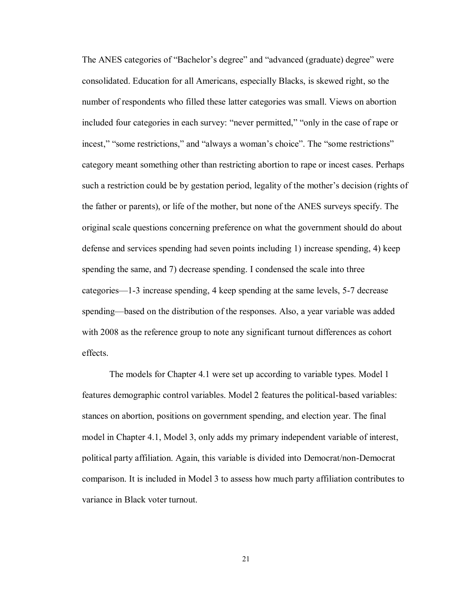The ANES categories of "Bachelor's degree" and "advanced (graduate) degree" were consolidated. Education for all Americans, especially Blacks, is skewed right, so the number of respondents who filled these latter categories was small. Views on abortion included four categories in each survey: "never permitted," "only in the case of rape or incest," "some restrictions," and "always a woman's choice". The "some restrictions" category meant something other than restricting abortion to rape or incest cases. Perhaps such a restriction could be by gestation period, legality of the mother's decision (rights of the father or parents), or life of the mother, but none of the ANES surveys specify. The original scale questions concerning preference on what the government should do about defense and services spending had seven points including 1) increase spending, 4) keep spending the same, and 7) decrease spending. I condensed the scale into three categories—1-3 increase spending, 4 keep spending at the same levels, 5-7 decrease spending—based on the distribution of the responses. Also, a year variable was added with 2008 as the reference group to note any significant turnout differences as cohort effects.

The models for Chapter 4.1 were set up according to variable types. Model 1 features demographic control variables. Model 2 features the political-based variables: stances on abortion, positions on government spending, and election year. The final model in Chapter 4.1, Model 3, only adds my primary independent variable of interest, political party affiliation. Again, this variable is divided into Democrat/non-Democrat comparison. It is included in Model 3 to assess how much party affiliation contributes to variance in Black voter turnout.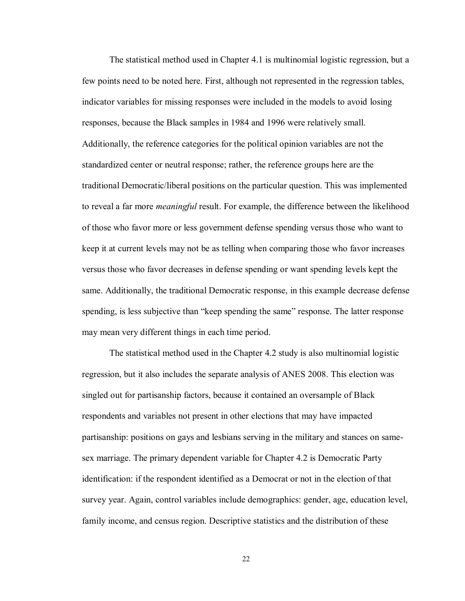The statistical method used in Chapter 4.1 is multinomial logistic regression, but a few points need to be noted here. First, although not represented in the regression tables, indicator variables for missing responses were included in the models to avoid losing responses, because the Black samples in 1984 and 1996 were relatively small. Additionally, the reference categories for the political opinion variables are not the standardized center or neutral response; rather, the reference groups here are the traditional Democratic/liberal positions on the particular question. This was implemented to reveal a far more *meaningful* result. For example, the difference between the likelihood of those who favor more or less government defense spending versus those who want to keep it at current levels may not be as telling when comparing those who favor increases versus those who favor decreases in defense spending or want spending levels kept the same. Additionally, the traditional Democratic response, in this example decrease defense spending, is less subjective than "keep spending the same" response. The latter response may mean very different things in each time period.

The statistical method used in the Chapter 4.2 study is also multinomial logistic regression, but it also includes the separate analysis of ANES 2008. This election was singled out for partisanship factors, because it contained an oversample of Black respondents and variables not present in other elections that may have impacted partisanship: positions on gays and lesbians serving in the military and stances on samesex marriage. The primary dependent variable for Chapter 4.2 is Democratic Party identification: if the respondent identified as a Democrat or not in the election of that survey year. Again, control variables include demographics: gender, age, education level, family income, and census region. Descriptive statistics and the distribution of these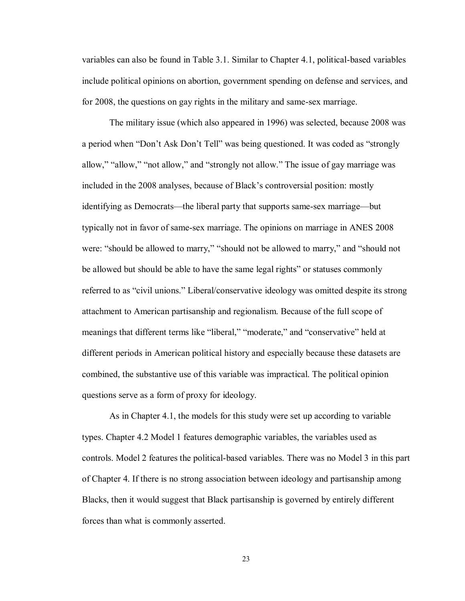variables can also be found in Table 3.1. Similar to Chapter 4.1, political-based variables include political opinions on abortion, government spending on defense and services, and for 2008, the questions on gay rights in the military and same-sex marriage.

The military issue (which also appeared in 1996) was selected, because 2008 was a period when "Don't Ask Don't Tell" was being questioned. It was coded as "strongly allow," "allow," "not allow," and "strongly not allow." The issue of gay marriage was included in the 2008 analyses, because of Black's controversial position: mostly identifying as Democrats—the liberal party that supports same-sex marriage—but typically not in favor of same-sex marriage. The opinions on marriage in ANES 2008 were: "should be allowed to marry," "should not be allowed to marry," and "should not be allowed but should be able to have the same legal rights" or statuses commonly referred to as "civil unions." Liberal/conservative ideology was omitted despite its strong attachment to American partisanship and regionalism. Because of the full scope of meanings that different terms like "liberal," "moderate," and "conservative" held at different periods in American political history and especially because these datasets are combined, the substantive use of this variable was impractical. The political opinion questions serve as a form of proxy for ideology.

As in Chapter 4.1, the models for this study were set up according to variable types. Chapter 4.2 Model 1 features demographic variables, the variables used as controls. Model 2 features the political-based variables. There was no Model 3 in this part of Chapter 4. If there is no strong association between ideology and partisanship among Blacks, then it would suggest that Black partisanship is governed by entirely different forces than what is commonly asserted.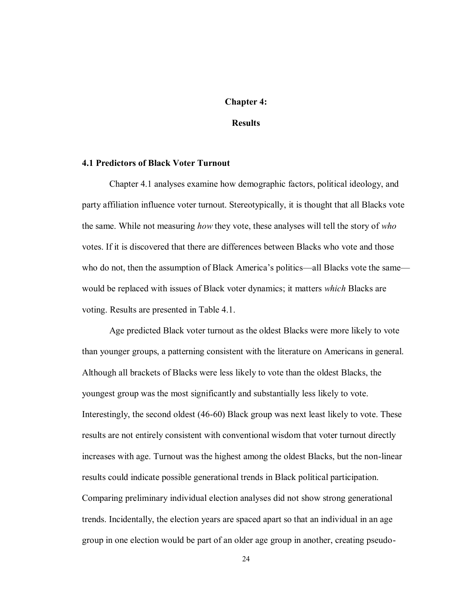#### **Chapter 4:**

#### **Results**

#### **4.1 Predictors of Black Voter Turnout**

Chapter 4.1 analyses examine how demographic factors, political ideology, and party affiliation influence voter turnout. Stereotypically, it is thought that all Blacks vote the same. While not measuring *how* they vote, these analyses will tell the story of *who* votes. If it is discovered that there are differences between Blacks who vote and those who do not, then the assumption of Black America's politics—all Blacks vote the same would be replaced with issues of Black voter dynamics; it matters *which* Blacks are voting. Results are presented in Table 4.1.

Age predicted Black voter turnout as the oldest Blacks were more likely to vote than younger groups, a patterning consistent with the literature on Americans in general. Although all brackets of Blacks were less likely to vote than the oldest Blacks, the youngest group was the most significantly and substantially less likely to vote. Interestingly, the second oldest (46-60) Black group was next least likely to vote. These results are not entirely consistent with conventional wisdom that voter turnout directly increases with age. Turnout was the highest among the oldest Blacks, but the non-linear results could indicate possible generational trends in Black political participation. Comparing preliminary individual election analyses did not show strong generational trends. Incidentally, the election years are spaced apart so that an individual in an age group in one election would be part of an older age group in another, creating pseudo-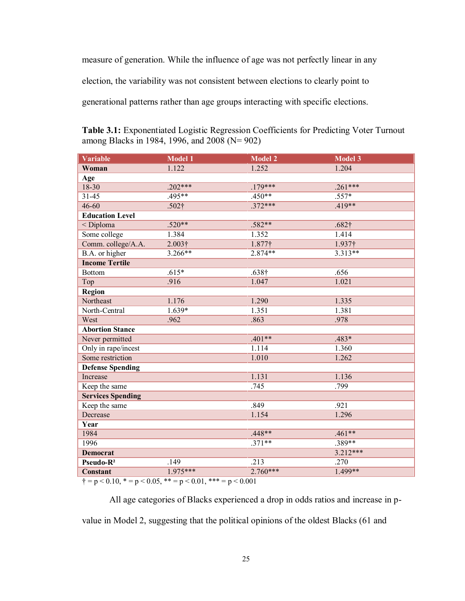measure of generation. While the influence of age was not perfectly linear in any election, the variability was not consistent between elections to clearly point to generational patterns rather than age groups interacting with specific elections.

| Variable                 | <b>Model 1</b>    | <b>Model 2</b> | <b>Model 3</b>    |
|--------------------------|-------------------|----------------|-------------------|
| Woman                    | 1.122             | 1.252          | 1.204             |
| Age                      |                   |                |                   |
| $18 - 30$                | $.202***$         | $.179***$      | $.261***$         |
| $31 - 45$                | $.495**$          | $.450**$       | .557*             |
| $46 - 60$                | .502 <sup>†</sup> | $.372***$      | $.419**$          |
| <b>Education Level</b>   |                   |                |                   |
| < Diploma                | $.520**$          | $.582**$       | .682 <sup>†</sup> |
| Some college             | 1.384             | 1.352          | 1.414             |
| Comm. college/A.A.       | $2.003\dagger$    | 1.877†         | 1.937†            |
| B.A. or higher           | $3.266**$         | $2.874**$      | $3.313**$         |
| <b>Income Tertile</b>    |                   |                |                   |
| <b>Bottom</b>            | $.615*$           | $.638\dagger$  | .656              |
| Top                      | .916              | 1.047          | 1.021             |
| Region                   |                   |                |                   |
| Northeast                | 1.176             | 1.290          | 1.335             |
| North-Central            | 1.639*            | 1.351          | 1.381             |
| West                     | .962              | .863           | .978              |
| <b>Abortion Stance</b>   |                   |                |                   |
| Never permitted          |                   | $.401**$       | .483*             |
| Only in rape/incest      |                   | 1.114          | 1.360             |
| Some restriction         |                   | 1.010          | 1.262             |
| <b>Defense Spending</b>  |                   |                |                   |
| Increase                 |                   | 1.131          | 1.136             |
| Keep the same            |                   | .745           | .799              |
| <b>Services Spending</b> |                   |                |                   |
| Keep the same            |                   | .849           | .921              |
| Decrease                 |                   | 1.154          | 1.296             |
| Year                     |                   |                |                   |
| 1984                     |                   | $.448**$       | $.461**$          |
| 1996                     |                   | $.371**$       | .389**            |
| <b>Democrat</b>          |                   |                | $3.212***$        |
| Pseudo-R <sup>2</sup>    | .149              | .213           | .270              |
| <b>Constant</b>          | $1.975***$        | $2.760***$     | $1.499**$         |

<span id="page-30-0"></span>**Table 3.1:** Exponentiated Logistic Regression Coefficients for Predicting Voter Turnout among Blacks in 1984, 1996, and 2008 (N= 902)

 $\dot{\tau} = p < 0.10$ ,  $\dot{\tau} = p < 0.05$ ,  $\dot{\tau} = p < 0.01$ ,  $\dot{\tau} = p < 0.001$ 

All age categories of Blacks experienced a drop in odds ratios and increase in pvalue in Model 2, suggesting that the political opinions of the oldest Blacks (61 and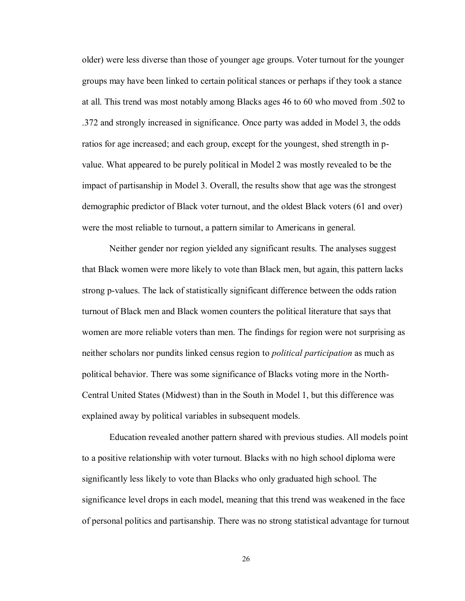older) were less diverse than those of younger age groups. Voter turnout for the younger groups may have been linked to certain political stances or perhaps if they took a stance at all. This trend was most notably among Blacks ages 46 to 60 who moved from .502 to .372 and strongly increased in significance. Once party was added in Model 3, the odds ratios for age increased; and each group, except for the youngest, shed strength in pvalue. What appeared to be purely political in Model 2 was mostly revealed to be the impact of partisanship in Model 3. Overall, the results show that age was the strongest demographic predictor of Black voter turnout, and the oldest Black voters (61 and over) were the most reliable to turnout, a pattern similar to Americans in general.

Neither gender nor region yielded any significant results. The analyses suggest that Black women were more likely to vote than Black men, but again, this pattern lacks strong p-values. The lack of statistically significant difference between the odds ration turnout of Black men and Black women counters the political literature that says that women are more reliable voters than men. The findings for region were not surprising as neither scholars nor pundits linked census region to *political participation* as much as political behavior. There was some significance of Blacks voting more in the North-Central United States (Midwest) than in the South in Model 1, but this difference was explained away by political variables in subsequent models.

Education revealed another pattern shared with previous studies. All models point to a positive relationship with voter turnout. Blacks with no high school diploma were significantly less likely to vote than Blacks who only graduated high school. The significance level drops in each model, meaning that this trend was weakened in the face of personal politics and partisanship. There was no strong statistical advantage for turnout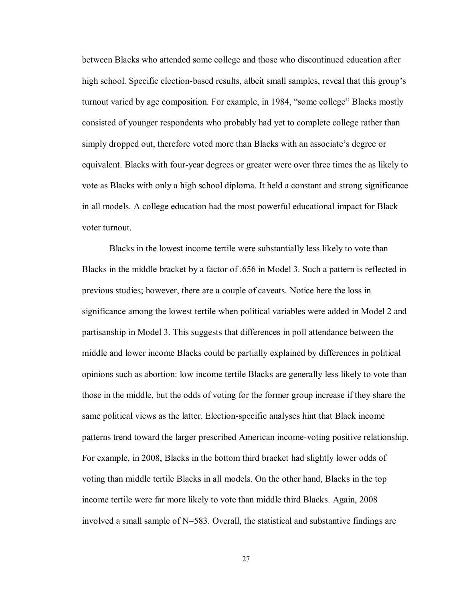between Blacks who attended some college and those who discontinued education after high school. Specific election-based results, albeit small samples, reveal that this group's turnout varied by age composition. For example, in 1984, "some college" Blacks mostly consisted of younger respondents who probably had yet to complete college rather than simply dropped out, therefore voted more than Blacks with an associate's degree or equivalent. Blacks with four-year degrees or greater were over three times the as likely to vote as Blacks with only a high school diploma. It held a constant and strong significance in all models. A college education had the most powerful educational impact for Black voter turnout.

Blacks in the lowest income tertile were substantially less likely to vote than Blacks in the middle bracket by a factor of .656 in Model 3. Such a pattern is reflected in previous studies; however, there are a couple of caveats. Notice here the loss in significance among the lowest tertile when political variables were added in Model 2 and partisanship in Model 3. This suggests that differences in poll attendance between the middle and lower income Blacks could be partially explained by differences in political opinions such as abortion: low income tertile Blacks are generally less likely to vote than those in the middle, but the odds of voting for the former group increase if they share the same political views as the latter. Election-specific analyses hint that Black income patterns trend toward the larger prescribed American income-voting positive relationship. For example, in 2008, Blacks in the bottom third bracket had slightly lower odds of voting than middle tertile Blacks in all models. On the other hand, Blacks in the top income tertile were far more likely to vote than middle third Blacks. Again, 2008 involved a small sample of N=583. Overall, the statistical and substantive findings are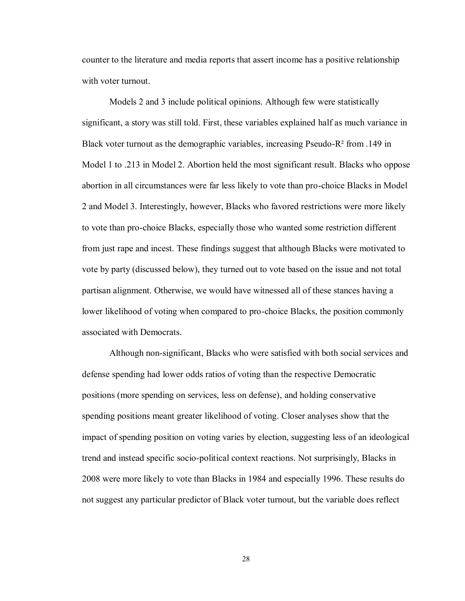counter to the literature and media reports that assert income has a positive relationship with voter turnout.

Models 2 and 3 include political opinions. Although few were statistically significant, a story was still told. First, these variables explained half as much variance in Black voter turnout as the demographic variables, increasing Pseudo-R² from .149 in Model 1 to .213 in Model 2. Abortion held the most significant result. Blacks who oppose abortion in all circumstances were far less likely to vote than pro-choice Blacks in Model 2 and Model 3. Interestingly, however, Blacks who favored restrictions were more likely to vote than pro-choice Blacks, especially those who wanted some restriction different from just rape and incest. These findings suggest that although Blacks were motivated to vote by party (discussed below), they turned out to vote based on the issue and not total partisan alignment. Otherwise, we would have witnessed all of these stances having a lower likelihood of voting when compared to pro-choice Blacks, the position commonly associated with Democrats.

Although non-significant, Blacks who were satisfied with both social services and defense spending had lower odds ratios of voting than the respective Democratic positions (more spending on services, less on defense), and holding conservative spending positions meant greater likelihood of voting. Closer analyses show that the impact of spending position on voting varies by election, suggesting less of an ideological trend and instead specific socio-political context reactions. Not surprisingly, Blacks in 2008 were more likely to vote than Blacks in 1984 and especially 1996. These results do not suggest any particular predictor of Black voter turnout, but the variable does reflect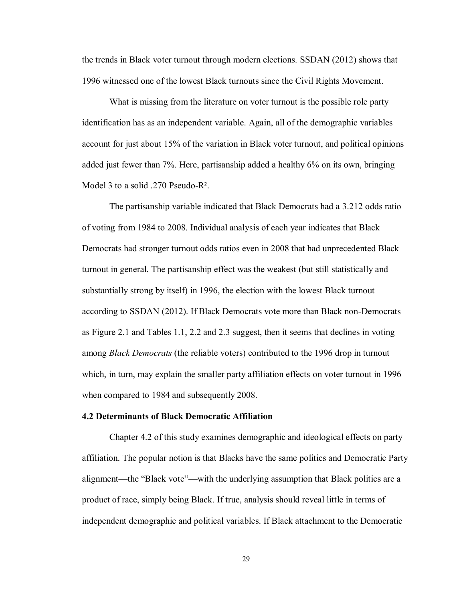the trends in Black voter turnout through modern elections. SSDAN (2012) shows that 1996 witnessed one of the lowest Black turnouts since the Civil Rights Movement.

What is missing from the literature on voter turnout is the possible role party identification has as an independent variable. Again, all of the demographic variables account for just about 15% of the variation in Black voter turnout, and political opinions added just fewer than 7%. Here, partisanship added a healthy 6% on its own, bringing Model 3 to a solid .270 Pseudo-R².

The partisanship variable indicated that Black Democrats had a 3.212 odds ratio of voting from 1984 to 2008. Individual analysis of each year indicates that Black Democrats had stronger turnout odds ratios even in 2008 that had unprecedented Black turnout in general. The partisanship effect was the weakest (but still statistically and substantially strong by itself) in 1996, the election with the lowest Black turnout according to SSDAN (2012). If Black Democrats vote more than Black non-Democrats as Figure 2.1 and Tables 1.1, 2.2 and 2.3 suggest, then it seems that declines in voting among *Black Democrats* (the reliable voters) contributed to the 1996 drop in turnout which, in turn, may explain the smaller party affiliation effects on voter turnout in 1996 when compared to 1984 and subsequently 2008.

#### **4.2 Determinants of Black Democratic Affiliation**

Chapter 4.2 of this study examines demographic and ideological effects on party affiliation. The popular notion is that Blacks have the same politics and Democratic Party alignment—the "Black vote"—with the underlying assumption that Black politics are a product of race, simply being Black. If true, analysis should reveal little in terms of independent demographic and political variables. If Black attachment to the Democratic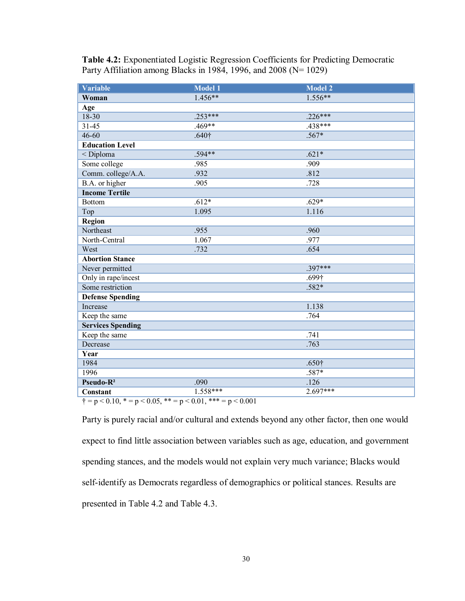| <b>Variable</b>                              | <b>Model 1</b>                       | <b>Model 2</b>    |
|----------------------------------------------|--------------------------------------|-------------------|
| Woman                                        | $1.456**$                            | $1.556**$         |
| Age                                          |                                      |                   |
| 18-30                                        | $.253***$                            | $.226***$         |
| $31 - 45$                                    | $.469**$                             | $.438***$         |
| $46 - 60$                                    | .640 <sup>†</sup>                    | $.567*$           |
| <b>Education Level</b>                       |                                      |                   |
| < Diploma                                    | $.594**$                             | $.621*$           |
| Some college                                 | .985                                 | .909              |
| Comm. college/A.A.                           | .932                                 | .812              |
| B.A. or higher                               | .905                                 | .728              |
| <b>Income Tertile</b>                        |                                      |                   |
| <b>Bottom</b>                                | $.612*$                              | $.629*$           |
| Top                                          | 1.095                                | 1.116             |
| Region                                       |                                      |                   |
| Northeast                                    | .955                                 | .960              |
| North-Central                                | 1.067                                | .977              |
| West                                         | .732                                 | .654              |
| <b>Abortion Stance</b>                       |                                      |                   |
| Never permitted                              |                                      | $.397***$         |
| Only in rape/incest                          |                                      | .699 <sup>†</sup> |
| Some restriction                             |                                      | .582*             |
| <b>Defense Spending</b>                      |                                      |                   |
| Increase                                     |                                      | 1.138             |
| Keep the same                                |                                      | .764              |
| <b>Services Spending</b>                     |                                      |                   |
| Keep the same                                |                                      | .741              |
| Decrease                                     |                                      | .763              |
| Year                                         |                                      |                   |
| 1984                                         |                                      | .650 <sup>†</sup> |
| 1996                                         |                                      | .587*             |
| Pseudo-R <sup>2</sup>                        | .090                                 | .126              |
| Constant<br>$\lambda = 20104$<br>$2005 - 44$ | $1.558***$<br>$2001$ $444$<br>20.001 | $2.697***$        |

<span id="page-35-0"></span>**Table 4.2:** Exponentiated Logistic Regression Coefficients for Predicting Democratic Party Affiliation among Blacks in 1984, 1996, and 2008 (N= 1029)

 $\dagger = p < 0.10$ ,  $* = p < 0.05$ ,  $** = p < 0.01$ ,  $** = p < 0.001$ 

Party is purely racial and/or cultural and extends beyond any other factor, then one would expect to find little association between variables such as age, education, and government spending stances, and the models would not explain very much variance; Blacks would self-identify as Democrats regardless of demographics or political stances. Results are presented in Table 4.2 and Table 4.3.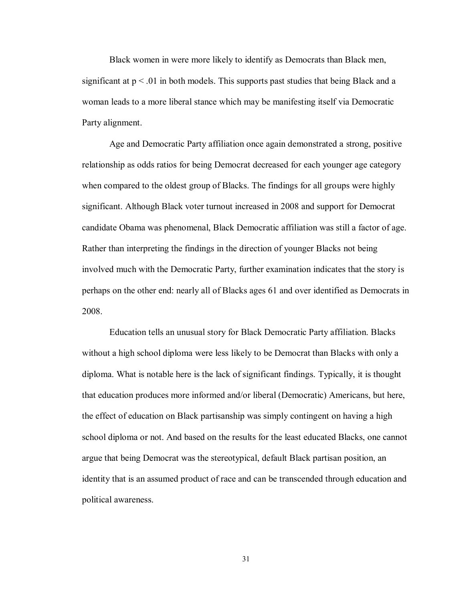Black women in were more likely to identify as Democrats than Black men, significant at  $p < 01$  in both models. This supports past studies that being Black and a woman leads to a more liberal stance which may be manifesting itself via Democratic Party alignment.

Age and Democratic Party affiliation once again demonstrated a strong, positive relationship as odds ratios for being Democrat decreased for each younger age category when compared to the oldest group of Blacks. The findings for all groups were highly significant. Although Black voter turnout increased in 2008 and support for Democrat candidate Obama was phenomenal, Black Democratic affiliation was still a factor of age. Rather than interpreting the findings in the direction of younger Blacks not being involved much with the Democratic Party, further examination indicates that the story is perhaps on the other end: nearly all of Blacks ages 61 and over identified as Democrats in 2008.

Education tells an unusual story for Black Democratic Party affiliation. Blacks without a high school diploma were less likely to be Democrat than Blacks with only a diploma. What is notable here is the lack of significant findings. Typically, it is thought that education produces more informed and/or liberal (Democratic) Americans, but here, the effect of education on Black partisanship was simply contingent on having a high school diploma or not. And based on the results for the least educated Blacks, one cannot argue that being Democrat was the stereotypical, default Black partisan position, an identity that is an assumed product of race and can be transcended through education and political awareness.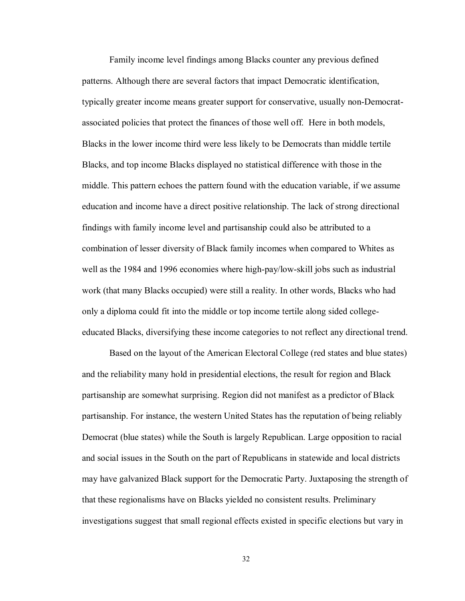Family income level findings among Blacks counter any previous defined patterns. Although there are several factors that impact Democratic identification, typically greater income means greater support for conservative, usually non-Democratassociated policies that protect the finances of those well off. Here in both models, Blacks in the lower income third were less likely to be Democrats than middle tertile Blacks, and top income Blacks displayed no statistical difference with those in the middle. This pattern echoes the pattern found with the education variable, if we assume education and income have a direct positive relationship. The lack of strong directional findings with family income level and partisanship could also be attributed to a combination of lesser diversity of Black family incomes when compared to Whites as well as the 1984 and 1996 economies where high-pay/low-skill jobs such as industrial work (that many Blacks occupied) were still a reality. In other words, Blacks who had only a diploma could fit into the middle or top income tertile along sided collegeeducated Blacks, diversifying these income categories to not reflect any directional trend.

Based on the layout of the American Electoral College (red states and blue states) and the reliability many hold in presidential elections, the result for region and Black partisanship are somewhat surprising. Region did not manifest as a predictor of Black partisanship. For instance, the western United States has the reputation of being reliably Democrat (blue states) while the South is largely Republican. Large opposition to racial and social issues in the South on the part of Republicans in statewide and local districts may have galvanized Black support for the Democratic Party. Juxtaposing the strength of that these regionalisms have on Blacks yielded no consistent results. Preliminary investigations suggest that small regional effects existed in specific elections but vary in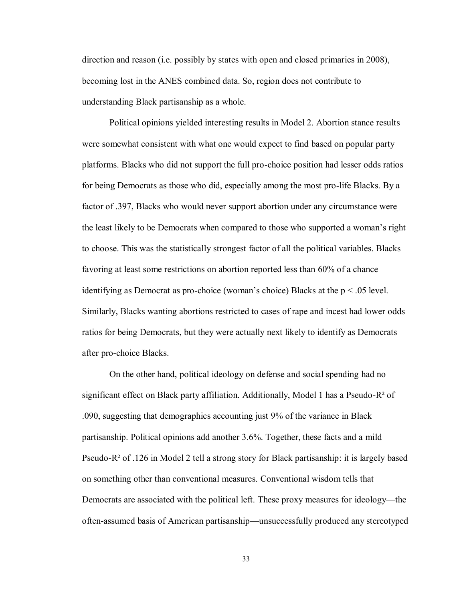direction and reason (i.e. possibly by states with open and closed primaries in 2008), becoming lost in the ANES combined data. So, region does not contribute to understanding Black partisanship as a whole.

Political opinions yielded interesting results in Model 2. Abortion stance results were somewhat consistent with what one would expect to find based on popular party platforms. Blacks who did not support the full pro-choice position had lesser odds ratios for being Democrats as those who did, especially among the most pro-life Blacks. By a factor of .397, Blacks who would never support abortion under any circumstance were the least likely to be Democrats when compared to those who supported a woman's right to choose. This was the statistically strongest factor of all the political variables. Blacks favoring at least some restrictions on abortion reported less than 60% of a chance identifying as Democrat as pro-choice (woman's choice) Blacks at the  $p < .05$  level. Similarly, Blacks wanting abortions restricted to cases of rape and incest had lower odds ratios for being Democrats, but they were actually next likely to identify as Democrats after pro-choice Blacks.

On the other hand, political ideology on defense and social spending had no significant effect on Black party affiliation. Additionally, Model 1 has a Pseudo-R² of .090, suggesting that demographics accounting just 9% of the variance in Black partisanship. Political opinions add another 3.6%. Together, these facts and a mild Pseudo- $R^2$  of .126 in Model 2 tell a strong story for Black partisanship: it is largely based on something other than conventional measures. Conventional wisdom tells that Democrats are associated with the political left. These proxy measures for ideology—the often-assumed basis of American partisanship—unsuccessfully produced any stereotyped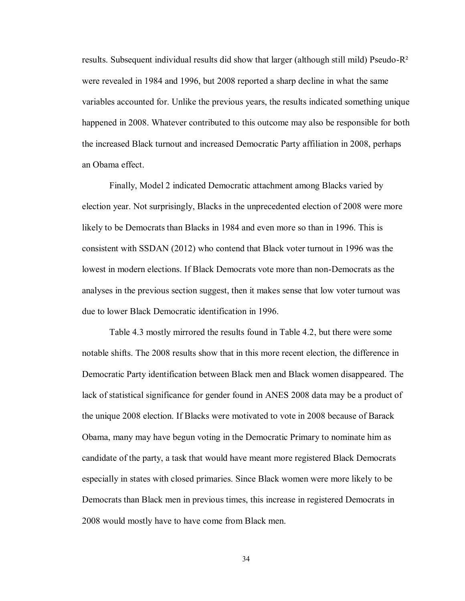results. Subsequent individual results did show that larger (although still mild) Pseudo-R² were revealed in 1984 and 1996, but 2008 reported a sharp decline in what the same variables accounted for. Unlike the previous years, the results indicated something unique happened in 2008. Whatever contributed to this outcome may also be responsible for both the increased Black turnout and increased Democratic Party affiliation in 2008, perhaps an Obama effect.

Finally, Model 2 indicated Democratic attachment among Blacks varied by election year. Not surprisingly, Blacks in the unprecedented election of 2008 were more likely to be Democrats than Blacks in 1984 and even more so than in 1996. This is consistent with SSDAN (2012) who contend that Black voter turnout in 1996 was the lowest in modern elections. If Black Democrats vote more than non-Democrats as the analyses in the previous section suggest, then it makes sense that low voter turnout was due to lower Black Democratic identification in 1996.

Table 4.3 mostly mirrored the results found in Table 4.2, but there were some notable shifts. The 2008 results show that in this more recent election, the difference in Democratic Party identification between Black men and Black women disappeared. The lack of statistical significance for gender found in ANES 2008 data may be a product of the unique 2008 election. If Blacks were motivated to vote in 2008 because of Barack Obama, many may have begun voting in the Democratic Primary to nominate him as candidate of the party, a task that would have meant more registered Black Democrats especially in states with closed primaries. Since Black women were more likely to be Democrats than Black men in previous times, this increase in registered Democrats in 2008 would mostly have to have come from Black men.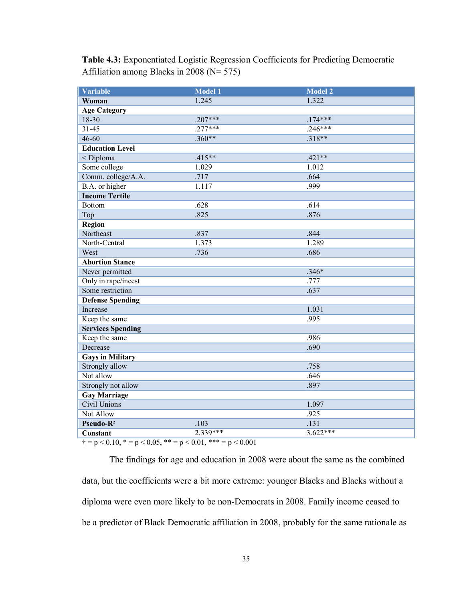<span id="page-40-0"></span>**Table 4.3:** Exponentiated Logistic Regression Coefficients for Predicting Democratic Affiliation among Blacks in 2008 (N= 575)

| <b>Variable</b>          | Model 1    | <b>Model 2</b> |
|--------------------------|------------|----------------|
| Woman                    | 1.245      | 1.322          |
| <b>Age Category</b>      |            |                |
| 18-30                    | $.207***$  | $.174***$      |
| $31 - 45$                | $.277***$  | $.246***$      |
| $46 - 60$                | $.360**$   | $.318**$       |
| <b>Education Level</b>   |            |                |
| < Diploma                | $.415**$   | $.421**$       |
| Some college             | 1.029      | 1.012          |
| Comm. college/A.A.       | .717       | .664           |
| B.A. or higher           | 1.117      | .999           |
| <b>Income Tertile</b>    |            |                |
| <b>Bottom</b>            | .628       | .614           |
| Top                      | .825       | .876           |
| Region                   |            |                |
| Northeast                | .837       | .844           |
| North-Central            | 1.373      | 1.289          |
| West                     | .736       | .686           |
| <b>Abortion Stance</b>   |            |                |
| Never permitted          |            | $.346*$        |
| Only in rape/incest      |            | .777           |
| Some restriction         |            | .637           |
| <b>Defense Spending</b>  |            |                |
| Increase                 |            | 1.031          |
| Keep the same            |            | .995           |
| <b>Services Spending</b> |            |                |
| Keep the same            |            | .986           |
| Decrease                 |            | .690           |
| <b>Gays in Military</b>  |            |                |
| Strongly allow           |            | .758           |
| Not allow                |            | .646           |
| Strongly not allow       |            | .897           |
| <b>Gay Marriage</b>      |            |                |
| Civil Unions             |            | 1.097          |
| <b>Not Allow</b>         |            | .925           |
| Pseudo-R <sup>2</sup>    | .103       | .131           |
| <b>Constant</b>          | $2.339***$ | $3.622***$     |

 $\uparrow$  = p < 0.10, \* = p < 0.05, \*\* = p < 0.01, \*\*\* = p < 0.001

The findings for age and education in 2008 were about the same as the combined data, but the coefficients were a bit more extreme: younger Blacks and Blacks without a diploma were even more likely to be non-Democrats in 2008. Family income ceased to be a predictor of Black Democratic affiliation in 2008, probably for the same rationale as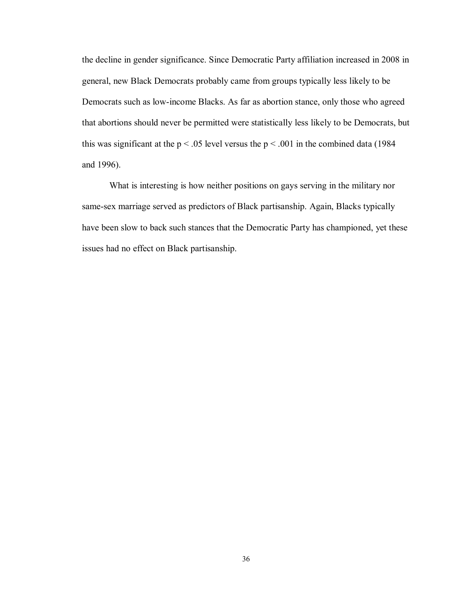the decline in gender significance. Since Democratic Party affiliation increased in 2008 in general, new Black Democrats probably came from groups typically less likely to be Democrats such as low-income Blacks. As far as abortion stance, only those who agreed that abortions should never be permitted were statistically less likely to be Democrats, but this was significant at the  $p < .05$  level versus the  $p < .001$  in the combined data (1984) and 1996).

What is interesting is how neither positions on gays serving in the military nor same-sex marriage served as predictors of Black partisanship. Again, Blacks typically have been slow to back such stances that the Democratic Party has championed, yet these issues had no effect on Black partisanship.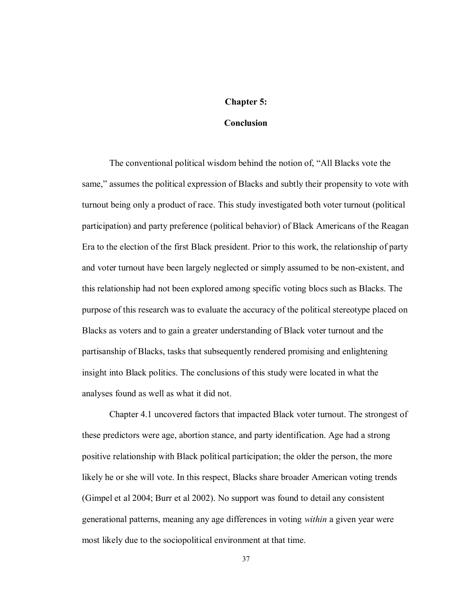#### **Chapter 5:**

#### **Conclusion**

The conventional political wisdom behind the notion of, "All Blacks vote the same," assumes the political expression of Blacks and subtly their propensity to vote with turnout being only a product of race. This study investigated both voter turnout (political participation) and party preference (political behavior) of Black Americans of the Reagan Era to the election of the first Black president. Prior to this work, the relationship of party and voter turnout have been largely neglected or simply assumed to be non-existent, and this relationship had not been explored among specific voting blocs such as Blacks. The purpose of this research was to evaluate the accuracy of the political stereotype placed on Blacks as voters and to gain a greater understanding of Black voter turnout and the partisanship of Blacks, tasks that subsequently rendered promising and enlightening insight into Black politics. The conclusions of this study were located in what the analyses found as well as what it did not.

Chapter 4.1 uncovered factors that impacted Black voter turnout. The strongest of these predictors were age, abortion stance, and party identification. Age had a strong positive relationship with Black political participation; the older the person, the more likely he or she will vote. In this respect, Blacks share broader American voting trends (Gimpel et al 2004; Burr et al 2002). No support was found to detail any consistent generational patterns, meaning any age differences in voting *within* a given year were most likely due to the sociopolitical environment at that time.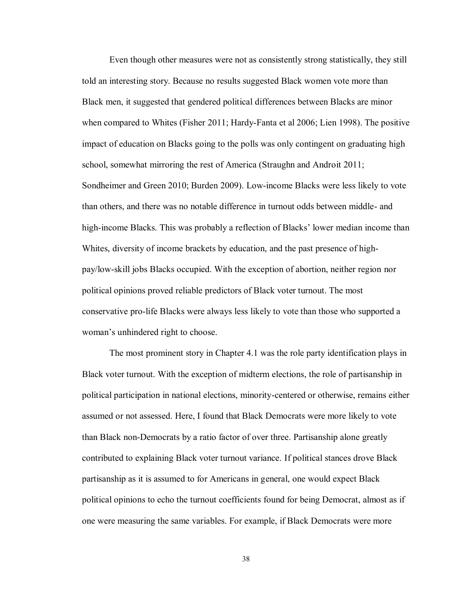Even though other measures were not as consistently strong statistically, they still told an interesting story. Because no results suggested Black women vote more than Black men, it suggested that gendered political differences between Blacks are minor when compared to Whites (Fisher 2011; Hardy-Fanta et al 2006; Lien 1998). The positive impact of education on Blacks going to the polls was only contingent on graduating high school, somewhat mirroring the rest of America (Straughn and Androit 2011; Sondheimer and Green 2010; Burden 2009). Low-income Blacks were less likely to vote than others, and there was no notable difference in turnout odds between middle- and high-income Blacks. This was probably a reflection of Blacks' lower median income than Whites, diversity of income brackets by education, and the past presence of highpay/low-skill jobs Blacks occupied. With the exception of abortion, neither region nor political opinions proved reliable predictors of Black voter turnout. The most conservative pro-life Blacks were always less likely to vote than those who supported a woman's unhindered right to choose.

The most prominent story in Chapter 4.1 was the role party identification plays in Black voter turnout. With the exception of midterm elections, the role of partisanship in political participation in national elections, minority-centered or otherwise, remains either assumed or not assessed. Here, I found that Black Democrats were more likely to vote than Black non-Democrats by a ratio factor of over three. Partisanship alone greatly contributed to explaining Black voter turnout variance. If political stances drove Black partisanship as it is assumed to for Americans in general, one would expect Black political opinions to echo the turnout coefficients found for being Democrat, almost as if one were measuring the same variables. For example, if Black Democrats were more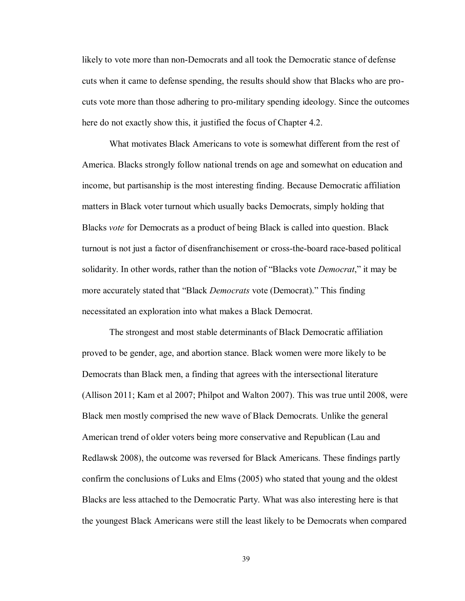likely to vote more than non-Democrats and all took the Democratic stance of defense cuts when it came to defense spending, the results should show that Blacks who are procuts vote more than those adhering to pro-military spending ideology. Since the outcomes here do not exactly show this, it justified the focus of Chapter 4.2.

What motivates Black Americans to vote is somewhat different from the rest of America. Blacks strongly follow national trends on age and somewhat on education and income, but partisanship is the most interesting finding. Because Democratic affiliation matters in Black voter turnout which usually backs Democrats, simply holding that Blacks *vote* for Democrats as a product of being Black is called into question. Black turnout is not just a factor of disenfranchisement or cross-the-board race-based political solidarity. In other words, rather than the notion of "Blacks vote *Democrat*," it may be more accurately stated that "Black *Democrats* vote (Democrat)." This finding necessitated an exploration into what makes a Black Democrat.

The strongest and most stable determinants of Black Democratic affiliation proved to be gender, age, and abortion stance. Black women were more likely to be Democrats than Black men, a finding that agrees with the intersectional literature (Allison 2011; Kam et al 2007; Philpot and Walton 2007). This was true until 2008, were Black men mostly comprised the new wave of Black Democrats. Unlike the general American trend of older voters being more conservative and Republican (Lau and Redlawsk 2008), the outcome was reversed for Black Americans. These findings partly confirm the conclusions of Luks and Elms (2005) who stated that young and the oldest Blacks are less attached to the Democratic Party. What was also interesting here is that the youngest Black Americans were still the least likely to be Democrats when compared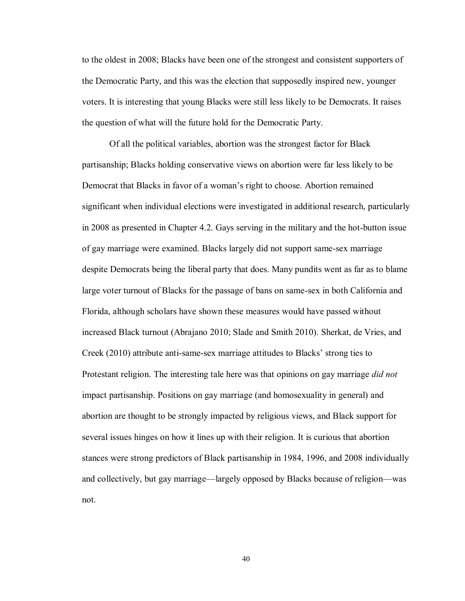to the oldest in 2008; Blacks have been one of the strongest and consistent supporters of the Democratic Party, and this was the election that supposedly inspired new, younger voters. It is interesting that young Blacks were still less likely to be Democrats. It raises the question of what will the future hold for the Democratic Party.

Of all the political variables, abortion was the strongest factor for Black partisanship; Blacks holding conservative views on abortion were far less likely to be Democrat that Blacks in favor of a woman's right to choose. Abortion remained significant when individual elections were investigated in additional research, particularly in 2008 as presented in Chapter 4.2. Gays serving in the military and the hot-button issue of gay marriage were examined. Blacks largely did not support same-sex marriage despite Democrats being the liberal party that does. Many pundits went as far as to blame large voter turnout of Blacks for the passage of bans on same-sex in both California and Florida, although scholars have shown these measures would have passed without increased Black turnout (Abrajano 2010; Slade and Smith 2010). Sherkat, de Vries, and Creek (2010) attribute anti-same-sex marriage attitudes to Blacks' strong ties to Protestant religion. The interesting tale here was that opinions on gay marriage *did not* impact partisanship. Positions on gay marriage (and homosexuality in general) and abortion are thought to be strongly impacted by religious views, and Black support for several issues hinges on how it lines up with their religion. It is curious that abortion stances were strong predictors of Black partisanship in 1984, 1996, and 2008 individually and collectively, but gay marriage—largely opposed by Blacks because of religion—was not.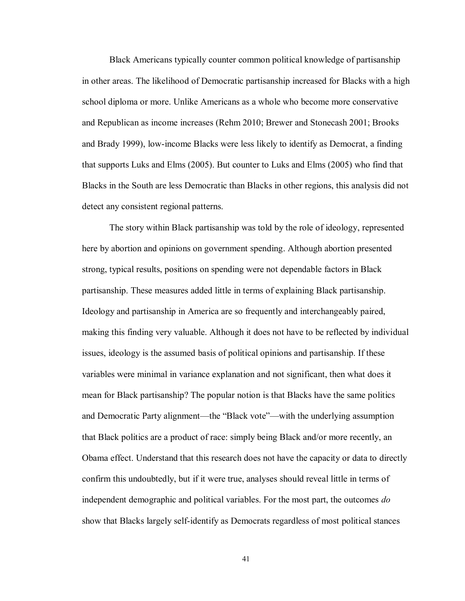Black Americans typically counter common political knowledge of partisanship in other areas. The likelihood of Democratic partisanship increased for Blacks with a high school diploma or more. Unlike Americans as a whole who become more conservative and Republican as income increases (Rehm 2010; Brewer and Stonecash 2001; Brooks and Brady 1999), low-income Blacks were less likely to identify as Democrat, a finding that supports Luks and Elms (2005). But counter to Luks and Elms (2005) who find that Blacks in the South are less Democratic than Blacks in other regions, this analysis did not detect any consistent regional patterns.

The story within Black partisanship was told by the role of ideology, represented here by abortion and opinions on government spending. Although abortion presented strong, typical results, positions on spending were not dependable factors in Black partisanship. These measures added little in terms of explaining Black partisanship. Ideology and partisanship in America are so frequently and interchangeably paired, making this finding very valuable. Although it does not have to be reflected by individual issues, ideology is the assumed basis of political opinions and partisanship. If these variables were minimal in variance explanation and not significant, then what does it mean for Black partisanship? The popular notion is that Blacks have the same politics and Democratic Party alignment—the "Black vote"—with the underlying assumption that Black politics are a product of race: simply being Black and/or more recently, an Obama effect. Understand that this research does not have the capacity or data to directly confirm this undoubtedly, but if it were true, analyses should reveal little in terms of independent demographic and political variables. For the most part, the outcomes *do* show that Blacks largely self-identify as Democrats regardless of most political stances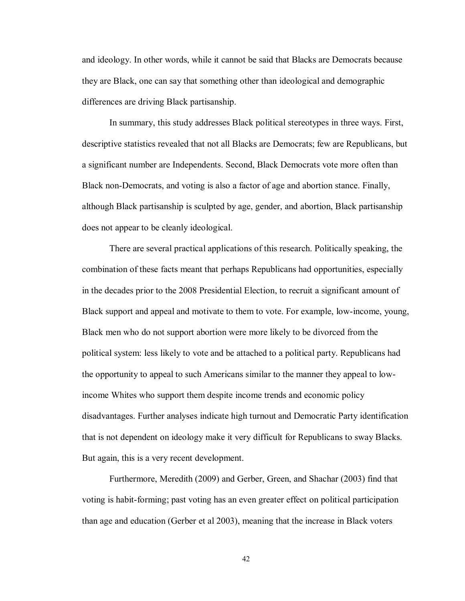and ideology. In other words, while it cannot be said that Blacks are Democrats because they are Black, one can say that something other than ideological and demographic differences are driving Black partisanship.

In summary, this study addresses Black political stereotypes in three ways. First, descriptive statistics revealed that not all Blacks are Democrats; few are Republicans, but a significant number are Independents. Second, Black Democrats vote more often than Black non-Democrats, and voting is also a factor of age and abortion stance. Finally, although Black partisanship is sculpted by age, gender, and abortion, Black partisanship does not appear to be cleanly ideological.

There are several practical applications of this research. Politically speaking, the combination of these facts meant that perhaps Republicans had opportunities, especially in the decades prior to the 2008 Presidential Election, to recruit a significant amount of Black support and appeal and motivate to them to vote. For example, low-income, young, Black men who do not support abortion were more likely to be divorced from the political system: less likely to vote and be attached to a political party. Republicans had the opportunity to appeal to such Americans similar to the manner they appeal to lowincome Whites who support them despite income trends and economic policy disadvantages. Further analyses indicate high turnout and Democratic Party identification that is not dependent on ideology make it very difficult for Republicans to sway Blacks. But again, this is a very recent development.

Furthermore, Meredith (2009) and Gerber, Green, and Shachar (2003) find that voting is habit-forming; past voting has an even greater effect on political participation than age and education (Gerber et al 2003), meaning that the increase in Black voters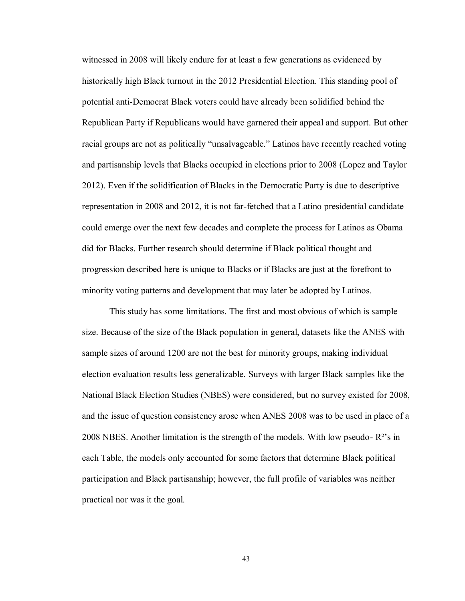witnessed in 2008 will likely endure for at least a few generations as evidenced by historically high Black turnout in the 2012 Presidential Election. This standing pool of potential anti-Democrat Black voters could have already been solidified behind the Republican Party if Republicans would have garnered their appeal and support. But other racial groups are not as politically "unsalvageable." Latinos have recently reached voting and partisanship levels that Blacks occupied in elections prior to 2008 (Lopez and Taylor 2012). Even if the solidification of Blacks in the Democratic Party is due to descriptive representation in 2008 and 2012, it is not far-fetched that a Latino presidential candidate could emerge over the next few decades and complete the process for Latinos as Obama did for Blacks. Further research should determine if Black political thought and progression described here is unique to Blacks or if Blacks are just at the forefront to minority voting patterns and development that may later be adopted by Latinos.

This study has some limitations. The first and most obvious of which is sample size. Because of the size of the Black population in general, datasets like the ANES with sample sizes of around 1200 are not the best for minority groups, making individual election evaluation results less generalizable. Surveys with larger Black samples like the National Black Election Studies (NBES) were considered, but no survey existed for 2008, and the issue of question consistency arose when ANES 2008 was to be used in place of a 2008 NBES. Another limitation is the strength of the models. With low pseudo- R²'s in each Table, the models only accounted for some factors that determine Black political participation and Black partisanship; however, the full profile of variables was neither practical nor was it the goal.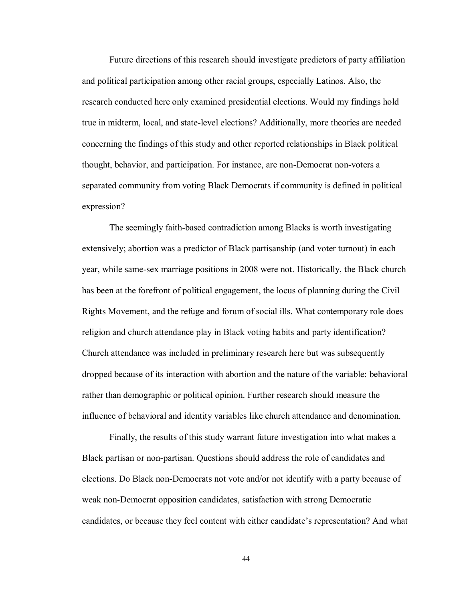Future directions of this research should investigate predictors of party affiliation and political participation among other racial groups, especially Latinos. Also, the research conducted here only examined presidential elections. Would my findings hold true in midterm, local, and state-level elections? Additionally, more theories are needed concerning the findings of this study and other reported relationships in Black political thought, behavior, and participation. For instance, are non-Democrat non-voters a separated community from voting Black Democrats if community is defined in political expression?

The seemingly faith-based contradiction among Blacks is worth investigating extensively; abortion was a predictor of Black partisanship (and voter turnout) in each year, while same-sex marriage positions in 2008 were not. Historically, the Black church has been at the forefront of political engagement, the locus of planning during the Civil Rights Movement, and the refuge and forum of social ills. What contemporary role does religion and church attendance play in Black voting habits and party identification? Church attendance was included in preliminary research here but was subsequently dropped because of its interaction with abortion and the nature of the variable: behavioral rather than demographic or political opinion. Further research should measure the influence of behavioral and identity variables like church attendance and denomination.

Finally, the results of this study warrant future investigation into what makes a Black partisan or non-partisan. Questions should address the role of candidates and elections. Do Black non-Democrats not vote and/or not identify with a party because of weak non-Democrat opposition candidates, satisfaction with strong Democratic candidates, or because they feel content with either candidate's representation? And what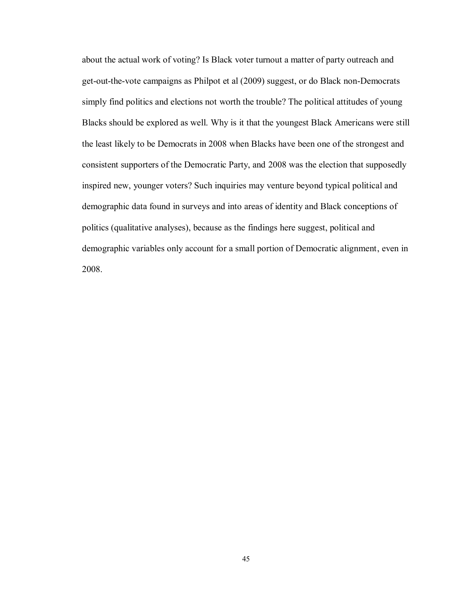about the actual work of voting? Is Black voter turnout a matter of party outreach and get-out-the-vote campaigns as Philpot et al (2009) suggest, or do Black non-Democrats simply find politics and elections not worth the trouble? The political attitudes of young Blacks should be explored as well. Why is it that the youngest Black Americans were still the least likely to be Democrats in 2008 when Blacks have been one of the strongest and consistent supporters of the Democratic Party, and 2008 was the election that supposedly inspired new, younger voters? Such inquiries may venture beyond typical political and demographic data found in surveys and into areas of identity and Black conceptions of politics (qualitative analyses), because as the findings here suggest, political and demographic variables only account for a small portion of Democratic alignment, even in 2008.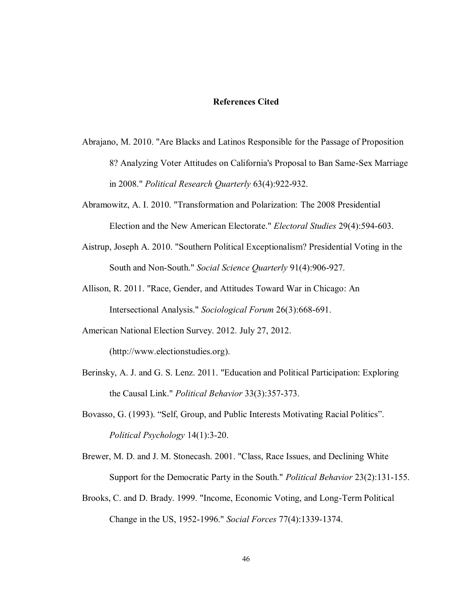#### **References Cited**

- Abrajano, M. 2010. "Are Blacks and Latinos Responsible for the Passage of Proposition 8? Analyzing Voter Attitudes on California's Proposal to Ban Same-Sex Marriage in 2008." *Political Research Quarterly* 63(4):922-932.
- Abramowitz, A. I. 2010. "Transformation and Polarization: The 2008 Presidential Election and the New American Electorate." *Electoral Studies* 29(4):594-603.
- Aistrup, Joseph A. 2010. "Southern Political Exceptionalism? Presidential Voting in the South and Non-South." *Social Science Quarterly* 91(4):906-927.
- Allison, R. 2011. "Race, Gender, and Attitudes Toward War in Chicago: An Intersectional Analysis." *Sociological Forum* 26(3):668-691.
- American National Election Survey. 2012. July 27, 2012. (http://www.electionstudies.org).
- Berinsky, A. J. and G. S. Lenz. 2011. "Education and Political Participation: Exploring the Causal Link." *Political Behavior* 33(3):357-373.
- Bovasso, G. (1993). "Self, Group, and Public Interests Motivating Racial Politics". *Political Psychology* 14(1):3-20.
- Brewer, M. D. and J. M. Stonecash. 2001. "Class, Race Issues, and Declining White Support for the Democratic Party in the South." *Political Behavior* 23(2):131-155.
- Brooks, C. and D. Brady. 1999. "Income, Economic Voting, and Long-Term Political Change in the US, 1952-1996." *Social Forces* 77(4):1339-1374.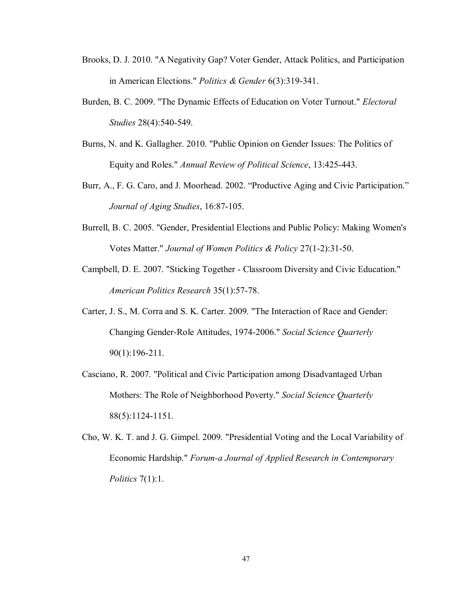- Brooks, D. J. 2010. "A Negativity Gap? Voter Gender, Attack Politics, and Participation in American Elections." *Politics & Gender* 6(3):319-341.
- Burden, B. C. 2009. "The Dynamic Effects of Education on Voter Turnout." *Electoral Studies* 28(4):540-549.
- Burns, N. and K. Gallagher. 2010. "Public Opinion on Gender Issues: The Politics of Equity and Roles." *Annual Review of Political Science*, 13:425-443.
- Burr, A., F. G. Caro, and J. Moorhead. 2002. "Productive Aging and Civic Participation." *Journal of Aging Studies*, 16:87-105.
- Burrell, B. C. 2005. "Gender, Presidential Elections and Public Policy: Making Women's Votes Matter." *Journal of Women Politics & Policy* 27(1-2):31-50.
- Campbell, D. E. 2007. "Sticking Together Classroom Diversity and Civic Education." *American Politics Research* 35(1):57-78.
- Carter, J. S., M. Corra and S. K. Carter. 2009. "The Interaction of Race and Gender: Changing Gender-Role Attitudes, 1974-2006." *Social Science Quarterly* 90(1):196-211.
- Casciano, R. 2007. "Political and Civic Participation among Disadvantaged Urban Mothers: The Role of Neighborhood Poverty." *Social Science Quarterly* 88(5):1124-1151.
- Cho, W. K. T. and J. G. Gimpel. 2009. "Presidential Voting and the Local Variability of Economic Hardship." *Forum-a Journal of Applied Research in Contemporary Politics* 7(1):1.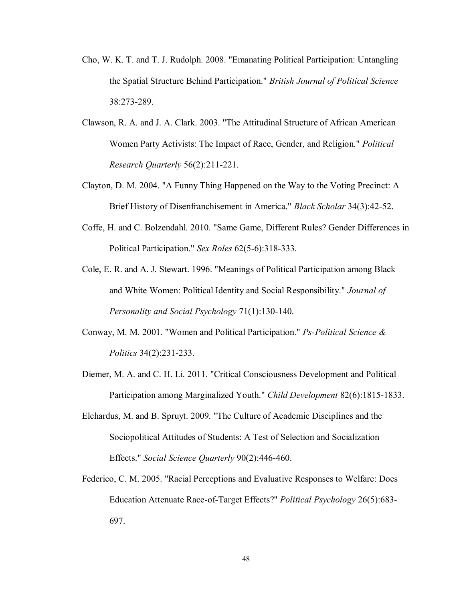- Cho, W. K. T. and T. J. Rudolph. 2008. "Emanating Political Participation: Untangling the Spatial Structure Behind Participation." *British Journal of Political Science* 38:273-289.
- Clawson, R. A. and J. A. Clark. 2003. "The Attitudinal Structure of African American Women Party Activists: The Impact of Race, Gender, and Religion." *Political Research Quarterly* 56(2):211-221.
- Clayton, D. M. 2004. "A Funny Thing Happened on the Way to the Voting Precinct: A Brief History of Disenfranchisement in America." *Black Scholar* 34(3):42-52.
- Coffe, H. and C. Bolzendahl. 2010. "Same Game, Different Rules? Gender Differences in Political Participation." *Sex Roles* 62(5-6):318-333.
- Cole, E. R. and A. J. Stewart. 1996. "Meanings of Political Participation among Black and White Women: Political Identity and Social Responsibility." *Journal of Personality and Social Psychology* 71(1):130-140.
- Conway, M. M. 2001. "Women and Political Participation." *Ps-Political Science & Politics* 34(2):231-233.
- Diemer, M. A. and C. H. Li. 2011. "Critical Consciousness Development and Political Participation among Marginalized Youth." *Child Development* 82(6):1815-1833.
- Elchardus, M. and B. Spruyt. 2009. "The Culture of Academic Disciplines and the Sociopolitical Attitudes of Students: A Test of Selection and Socialization Effects." *Social Science Quarterly* 90(2):446-460.
- Federico, C. M. 2005. "Racial Perceptions and Evaluative Responses to Welfare: Does Education Attenuate Race-of-Target Effects?" *Political Psychology* 26(5):683- 697.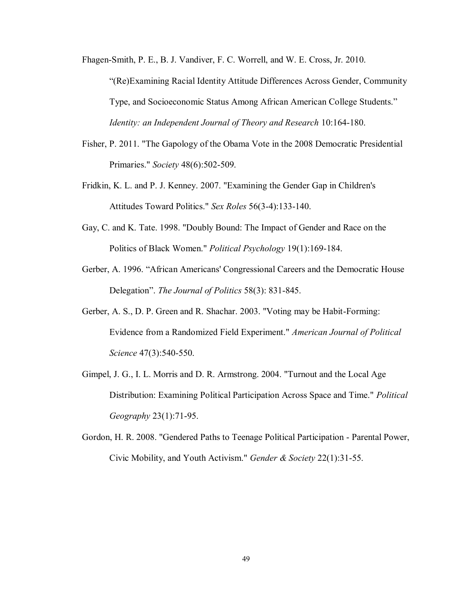Fhagen-Smith, P. E., B. J. Vandiver, F. C. Worrell, and W. E. Cross, Jr. 2010.

"(Re)Examining Racial Identity Attitude Differences Across Gender, Community Type, and Socioeconomic Status Among African American College Students." *Identity: an Independent Journal of Theory and Research* 10:164-180.

- Fisher, P. 2011. "The Gapology of the Obama Vote in the 2008 Democratic Presidential Primaries." *Society* 48(6):502-509.
- Fridkin, K. L. and P. J. Kenney. 2007. "Examining the Gender Gap in Children's Attitudes Toward Politics." *Sex Roles* 56(3-4):133-140.
- Gay, C. and K. Tate. 1998. "Doubly Bound: The Impact of Gender and Race on the Politics of Black Women." *Political Psychology* 19(1):169-184.
- Gerber, A. 1996. "African Americans' Congressional Careers and the Democratic House Delegation". *The Journal of Politics* 58(3): 831-845.
- Gerber, A. S., D. P. Green and R. Shachar. 2003. "Voting may be Habit-Forming: Evidence from a Randomized Field Experiment." *American Journal of Political Science* 47(3):540-550.
- Gimpel, J. G., I. L. Morris and D. R. Armstrong. 2004. "Turnout and the Local Age Distribution: Examining Political Participation Across Space and Time." *Political Geography* 23(1):71-95.
- Gordon, H. R. 2008. "Gendered Paths to Teenage Political Participation Parental Power, Civic Mobility, and Youth Activism." *Gender & Society* 22(1):31-55.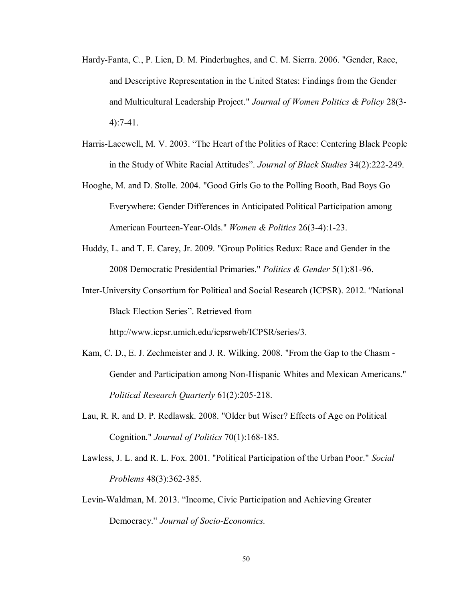- Hardy-Fanta, C., P. Lien, D. M. Pinderhughes, and C. M. Sierra. 2006. "Gender, Race, and Descriptive Representation in the United States: Findings from the Gender and Multicultural Leadership Project." *Journal of Women Politics & Policy* 28(3- 4):7-41.
- Harris-Lacewell, M. V. 2003. "The Heart of the Politics of Race: Centering Black People in the Study of White Racial Attitudes". *Journal of Black Studies* 34(2):222-249.
- Hooghe, M. and D. Stolle. 2004. "Good Girls Go to the Polling Booth, Bad Boys Go Everywhere: Gender Differences in Anticipated Political Participation among American Fourteen-Year-Olds." *Women & Politics* 26(3-4):1-23.
- Huddy, L. and T. E. Carey, Jr. 2009. "Group Politics Redux: Race and Gender in the 2008 Democratic Presidential Primaries." *Politics & Gender* 5(1):81-96.
- Inter-University Consortium for Political and Social Research (ICPSR). 2012. "National Black Election Series". Retrieved from

http://www.icpsr.umich.edu/icpsrweb/ICPSR/series/3.

- Kam, C. D., E. J. Zechmeister and J. R. Wilking. 2008. "From the Gap to the Chasm Gender and Participation among Non-Hispanic Whites and Mexican Americans." *Political Research Quarterly* 61(2):205-218.
- Lau, R. R. and D. P. Redlawsk. 2008. "Older but Wiser? Effects of Age on Political Cognition." *Journal of Politics* 70(1):168-185.
- Lawless, J. L. and R. L. Fox. 2001. "Political Participation of the Urban Poor." *Social Problems* 48(3):362-385.
- Levin-Waldman, M. 2013. "Income, Civic Participation and Achieving Greater Democracy." *Journal of Socio-Economics.*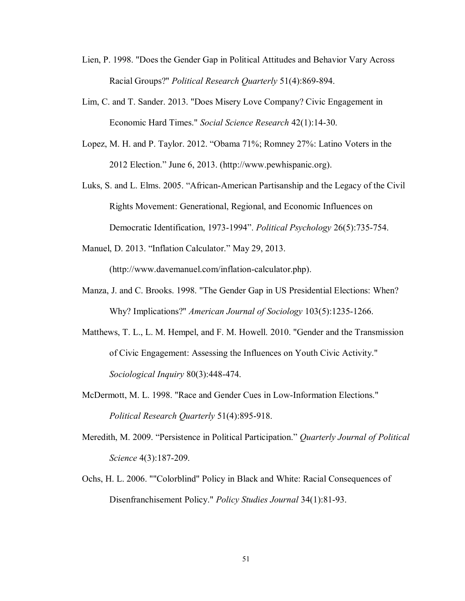- Lien, P. 1998. "Does the Gender Gap in Political Attitudes and Behavior Vary Across Racial Groups?" *Political Research Quarterly* 51(4):869-894.
- Lim, C. and T. Sander. 2013. "Does Misery Love Company? Civic Engagement in Economic Hard Times." *Social Science Research* 42(1):14-30.
- Lopez, M. H. and P. Taylor. 2012. "Obama 71%; Romney 27%: Latino Voters in the 2012 Election." June 6, 2013. (http://www.pewhispanic.org).
- Luks, S. and L. Elms. 2005. "African-American Partisanship and the Legacy of the Civil Rights Movement: Generational, Regional, and Economic Influences on Democratic Identification, 1973-1994". *Political Psychology* 26(5):735-754.
- Manuel, D. 2013. "Inflation Calculator." May 29, 2013.

(http://www.davemanuel.com/inflation-calculator.php).

- Manza, J. and C. Brooks. 1998. "The Gender Gap in US Presidential Elections: When? Why? Implications?" *American Journal of Sociology* 103(5):1235-1266.
- Matthews, T. L., L. M. Hempel, and F. M. Howell. 2010. "Gender and the Transmission of Civic Engagement: Assessing the Influences on Youth Civic Activity." *Sociological Inquiry* 80(3):448-474.
- McDermott, M. L. 1998. "Race and Gender Cues in Low-Information Elections." *Political Research Quarterly* 51(4):895-918.
- Meredith, M. 2009. "Persistence in Political Participation." *Quarterly Journal of Political Science* 4(3):187-209.
- Ochs, H. L. 2006. ""Colorblind" Policy in Black and White: Racial Consequences of Disenfranchisement Policy." *Policy Studies Journal* 34(1):81-93.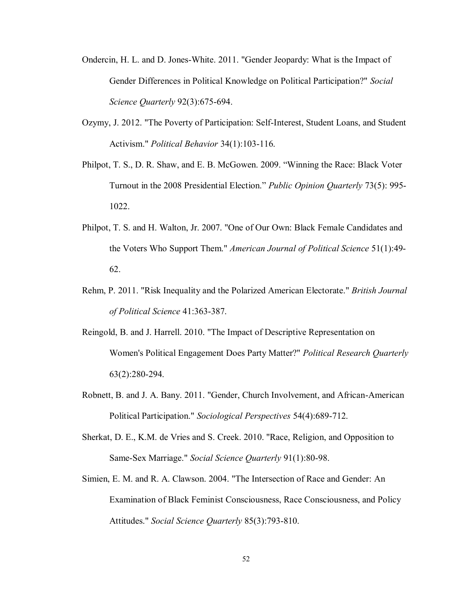- Ondercin, H. L. and D. Jones-White. 2011. "Gender Jeopardy: What is the Impact of Gender Differences in Political Knowledge on Political Participation?" *Social Science Quarterly* 92(3):675-694.
- Ozymy, J. 2012. "The Poverty of Participation: Self-Interest, Student Loans, and Student Activism." *Political Behavior* 34(1):103-116.
- Philpot, T. S., D. R. Shaw, and E. B. McGowen. 2009. "Winning the Race: Black Voter Turnout in the 2008 Presidential Election." *Public Opinion Quarterly* 73(5): 995- 1022.
- Philpot, T. S. and H. Walton, Jr. 2007. "One of Our Own: Black Female Candidates and the Voters Who Support Them." *American Journal of Political Science* 51(1):49- 62.
- Rehm, P. 2011. "Risk Inequality and the Polarized American Electorate." *British Journal of Political Science* 41:363-387.
- Reingold, B. and J. Harrell. 2010. "The Impact of Descriptive Representation on Women's Political Engagement Does Party Matter?" *Political Research Quarterly* 63(2):280-294.
- Robnett, B. and J. A. Bany. 2011. "Gender, Church Involvement, and African-American Political Participation." *Sociological Perspectives* 54(4):689-712.
- Sherkat, D. E., K.M. de Vries and S. Creek. 2010. "Race, Religion, and Opposition to Same-Sex Marriage." *Social Science Quarterly* 91(1):80-98.
- Simien, E. M. and R. A. Clawson. 2004. "The Intersection of Race and Gender: An Examination of Black Feminist Consciousness, Race Consciousness, and Policy Attitudes." *Social Science Quarterly* 85(3):793-810.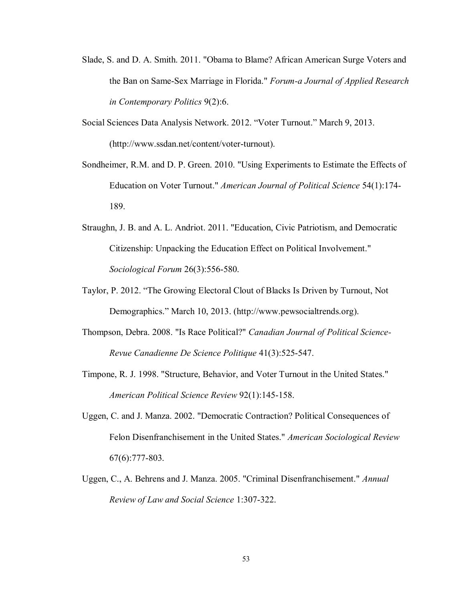- Slade, S. and D. A. Smith. 2011. "Obama to Blame? African American Surge Voters and the Ban on Same-Sex Marriage in Florida." *Forum-a Journal of Applied Research in Contemporary Politics* 9(2):6.
- Social Sciences Data Analysis Network. 2012. "Voter Turnout." March 9, 2013. (http://www.ssdan.net/content/voter-turnout).
- Sondheimer, R.M. and D. P. Green. 2010. "Using Experiments to Estimate the Effects of Education on Voter Turnout." *American Journal of Political Science* 54(1):174- 189.
- Straughn, J. B. and A. L. Andriot. 2011. "Education, Civic Patriotism, and Democratic Citizenship: Unpacking the Education Effect on Political Involvement." *Sociological Forum* 26(3):556-580.
- Taylor, P. 2012. "The Growing Electoral Clout of Blacks Is Driven by Turnout, Not Demographics." March 10, 2013. (http://www.pewsocialtrends.org).
- Thompson, Debra. 2008. "Is Race Political?" *Canadian Journal of Political Science-Revue Canadienne De Science Politique* 41(3):525-547.
- Timpone, R. J. 1998. "Structure, Behavior, and Voter Turnout in the United States." *American Political Science Review* 92(1):145-158.
- Uggen, C. and J. Manza. 2002. "Democratic Contraction? Political Consequences of Felon Disenfranchisement in the United States." *American Sociological Review* 67(6):777-803.
- Uggen, C., A. Behrens and J. Manza. 2005. "Criminal Disenfranchisement." *Annual Review of Law and Social Science* 1:307-322.